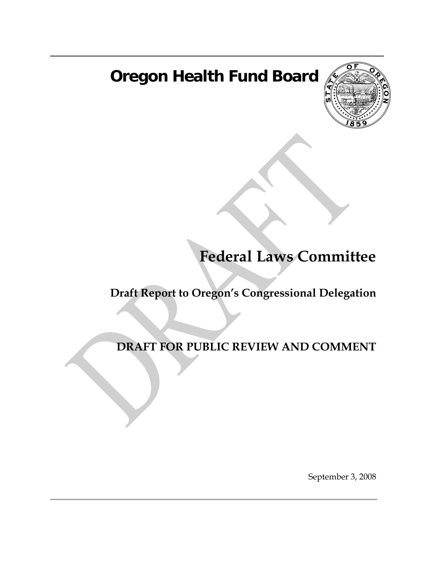# **Oregon Health Fund Board**



# **Federal Laws Committee**

# **Draft Report to Oregon's Congressional Delegation**

# **DRAFT FOR PUBLIC REVIEW AND COMMENT**

September 3, 2008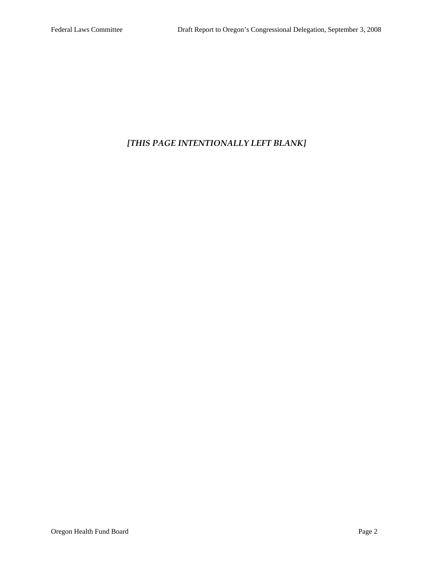### *[THIS PAGE INTENTIONALLY LEFT BLANK]*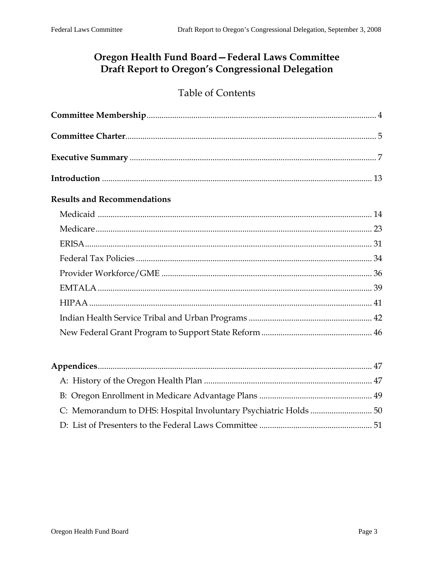### Oregon Health Fund Board-Federal Laws Committee Draft Report to Oregon's Congressional Delegation

### **Table of Contents**

| <b>Results and Recommendations</b> |
|------------------------------------|
|                                    |
|                                    |
|                                    |
|                                    |
|                                    |
|                                    |
|                                    |
|                                    |
|                                    |
|                                    |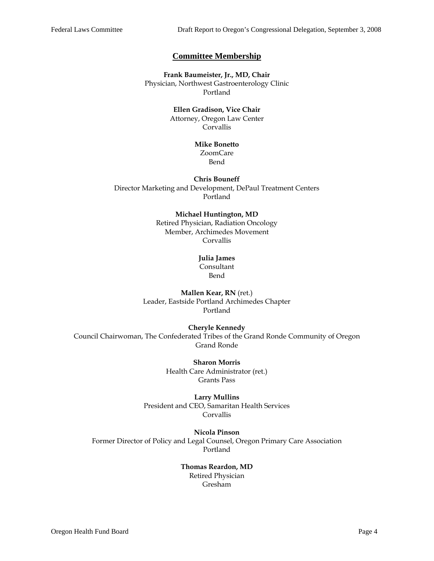### **Committee Membership**

**Frank Baumeister, Jr., MD, Chair**  Physician, Northwest Gastroenterology Clinic Portland

> **Ellen Gradison, Vice Chair**  Attorney, Oregon Law Center Corvallis

#### **Mike Bonetto**

ZoomCare **Bend** 

#### **Chris Bouneff**

Director Marketing and Development, DePaul Treatment Centers Portland

#### **Michael Huntington, MD**

Retired Physician, Radiation Oncology Member, Archimedes Movement Corvallis

#### **Julia James**

Consultant

Bend

**Mallen Kear, RN** (ret.) Leader, Eastside Portland Archimedes Chapter Portland

#### **Cheryle Kennedy**  Council Chairwoman, The Confederated Tribes of the Grand Ronde Community of Oregon Grand Ronde

**Sharon Morris**  Health Care Administrator (ret.) Grants Pass

**Larry Mullins**  President and CEO, Samaritan Health Services Corvallis

**Nicola Pinson**  Former Director of Policy and Legal Counsel, Oregon Primary Care Association Portland

> **Thomas Reardon, MD**  Retired Physician Gresham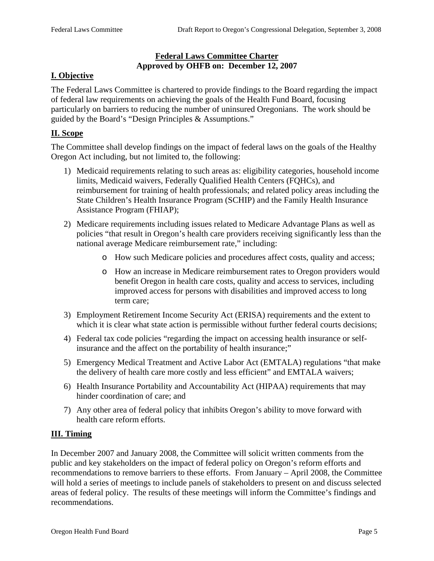### **Federal Laws Committee Charter Approved by OHFB on: December 12, 2007**

### **I. Objective**

The Federal Laws Committee is chartered to provide findings to the Board regarding the impact of federal law requirements on achieving the goals of the Health Fund Board, focusing particularly on barriers to reducing the number of uninsured Oregonians. The work should be guided by the Board's "Design Principles & Assumptions."

### **II. Scope**

The Committee shall develop findings on the impact of federal laws on the goals of the Healthy Oregon Act including, but not limited to, the following:

- 1) Medicaid requirements relating to such areas as: eligibility categories, household income limits, Medicaid waivers, Federally Qualified Health Centers (FQHCs), and reimbursement for training of health professionals; and related policy areas including the State Children's Health Insurance Program (SCHIP) and the Family Health Insurance Assistance Program (FHIAP);
- 2) Medicare requirements including issues related to Medicare Advantage Plans as well as policies "that result in Oregon's health care providers receiving significantly less than the national average Medicare reimbursement rate," including:
	- o How such Medicare policies and procedures affect costs, quality and access;
	- o How an increase in Medicare reimbursement rates to Oregon providers would benefit Oregon in health care costs, quality and access to services, including improved access for persons with disabilities and improved access to long term care;
- 3) Employment Retirement Income Security Act (ERISA) requirements and the extent to which it is clear what state action is permissible without further federal courts decisions;
- 4) Federal tax code policies "regarding the impact on accessing health insurance or selfinsurance and the affect on the portability of health insurance;"
- 5) Emergency Medical Treatment and Active Labor Act (EMTALA) regulations "that make the delivery of health care more costly and less efficient" and EMTALA waivers;
- 6) Health Insurance Portability and Accountability Act (HIPAA) requirements that may hinder coordination of care; and
- 7) Any other area of federal policy that inhibits Oregon's ability to move forward with health care reform efforts.

### **III. Timing**

In December 2007 and January 2008, the Committee will solicit written comments from the public and key stakeholders on the impact of federal policy on Oregon's reform efforts and recommendations to remove barriers to these efforts. From January – April 2008, the Committee will hold a series of meetings to include panels of stakeholders to present on and discuss selected areas of federal policy. The results of these meetings will inform the Committee's findings and recommendations.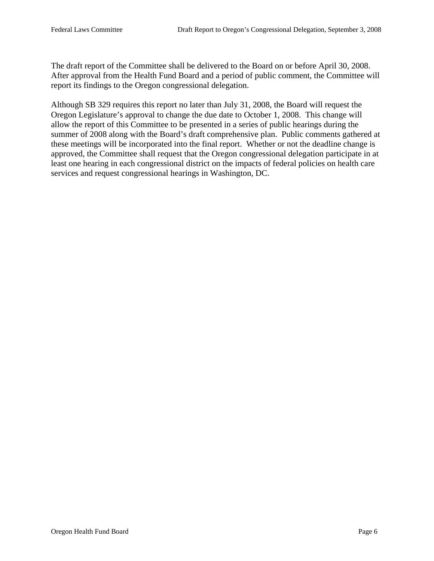The draft report of the Committee shall be delivered to the Board on or before April 30, 2008. After approval from the Health Fund Board and a period of public comment, the Committee will report its findings to the Oregon congressional delegation.

Although SB 329 requires this report no later than July 31, 2008, the Board will request the Oregon Legislature's approval to change the due date to October 1, 2008. This change will allow the report of this Committee to be presented in a series of public hearings during the summer of 2008 along with the Board's draft comprehensive plan. Public comments gathered at these meetings will be incorporated into the final report. Whether or not the deadline change is approved, the Committee shall request that the Oregon congressional delegation participate in at least one hearing in each congressional district on the impacts of federal policies on health care services and request congressional hearings in Washington, DC.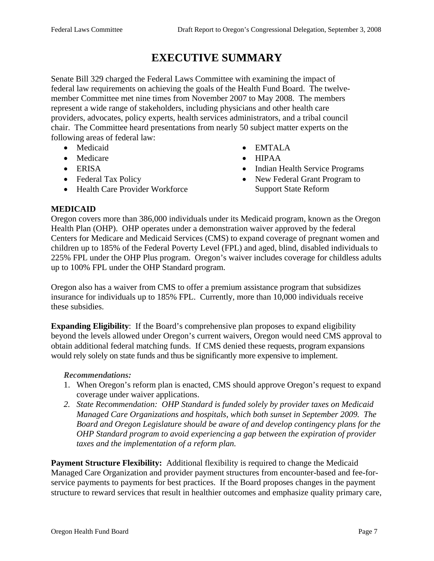## **EXECUTIVE SUMMARY**

Senate Bill 329 charged the Federal Laws Committee with examining the impact of federal law requirements on achieving the goals of the Health Fund Board. The twelvemember Committee met nine times from November 2007 to May 2008. The members represent a wide range of stakeholders, including physicians and other health care providers, advocates, policy experts, health services administrators, and a tribal council chair. The Committee heard presentations from nearly 50 subject matter experts on the following areas of federal law:

- Medicaid
- Medicare
- ERISA
- Federal Tax Policy
- Health Care Provider Workforce
- EMTALA
- HIPAA
- Indian Health Service Programs
- New Federal Grant Program to Support State Reform

### **MEDICAID**

Oregon covers more than 386,000 individuals under its Medicaid program, known as the Oregon Health Plan (OHP). OHP operates under a demonstration waiver approved by the federal Centers for Medicare and Medicaid Services (CMS) to expand coverage of pregnant women and children up to 185% of the Federal Poverty Level (FPL) and aged, blind, disabled individuals to 225% FPL under the OHP Plus program. Oregon's waiver includes coverage for childless adults up to 100% FPL under the OHP Standard program.

Oregon also has a waiver from CMS to offer a premium assistance program that subsidizes insurance for individuals up to 185% FPL. Currently, more than 10,000 individuals receive these subsidies.

**Expanding Eligibility:** If the Board's comprehensive plan proposes to expand eligibility beyond the levels allowed under Oregon's current waivers, Oregon would need CMS approval to obtain additional federal matching funds. If CMS denied these requests, program expansions would rely solely on state funds and thus be significantly more expensive to implement.

### *Recommendations:*

- 1. When Oregon's reform plan is enacted, CMS should approve Oregon's request to expand coverage under waiver applications.
- *2. State Recommendation: OHP Standard is funded solely by provider taxes on Medicaid Managed Care Organizations and hospitals, which both sunset in September 2009. The Board and Oregon Legislature should be aware of and develop contingency plans for the OHP Standard program to avoid experiencing a gap between the expiration of provider taxes and the implementation of a reform plan.*

**Payment Structure Flexibility:** Additional flexibility is required to change the Medicaid Managed Care Organization and provider payment structures from encounter-based and fee-forservice payments to payments for best practices. If the Board proposes changes in the payment structure to reward services that result in healthier outcomes and emphasize quality primary care,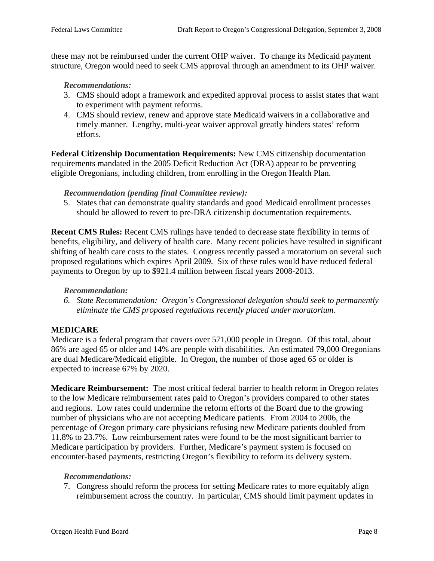these may not be reimbursed under the current OHP waiver. To change its Medicaid payment structure, Oregon would need to seek CMS approval through an amendment to its OHP waiver.

#### *Recommendations:*

- 3. CMS should adopt a framework and expedited approval process to assist states that want to experiment with payment reforms.
- 4. CMS should review, renew and approve state Medicaid waivers in a collaborative and timely manner. Lengthy, multi-year waiver approval greatly hinders states' reform efforts.

**Federal Citizenship Documentation Requirements:** New CMS citizenship documentation requirements mandated in the 2005 Deficit Reduction Act (DRA) appear to be preventing eligible Oregonians, including children, from enrolling in the Oregon Health Plan.

### *Recommendation (pending final Committee review):*

5. States that can demonstrate quality standards and good Medicaid enrollment processes should be allowed to revert to pre-DRA citizenship documentation requirements.

**Recent CMS Rules:** Recent CMS rulings have tended to decrease state flexibility in terms of benefits, eligibility, and delivery of health care. Many recent policies have resulted in significant shifting of health care costs to the states. Congress recently passed a moratorium on several such proposed regulations which expires April 2009.Six of these rules would have reduced federal payments to Oregon by up to \$921.4 million between fiscal years 2008-2013.

### *Recommendation:*

*6. State Recommendation: Oregon's Congressional delegation should seek to permanently eliminate the CMS proposed regulations recently placed under moratorium.* 

### **MEDICARE**

Medicare is a federal program that covers over 571,000 people in Oregon. Of this total, about 86% are aged 65 or older and 14% are people with disabilities. An estimated 79,000 Oregonians are dual Medicare/Medicaid eligible. In Oregon, the number of those aged 65 or older is expected to increase 67% by 2020.

**Medicare Reimbursement:** The most critical federal barrier to health reform in Oregon relates to the low Medicare reimbursement rates paid to Oregon's providers compared to other states and regions. Low rates could undermine the reform efforts of the Board due to the growing number of physicians who are not accepting Medicare patients. From 2004 to 2006, the percentage of Oregon primary care physicians refusing new Medicare patients doubled from 11.8% to 23.7%. Low reimbursement rates were found to be the most significant barrier to Medicare participation by providers. Further, Medicare's payment system is focused on encounter-based payments, restricting Oregon's flexibility to reform its delivery system.

### *Recommendations:*

7. Congress should reform the process for setting Medicare rates to more equitably align reimbursement across the country. In particular, CMS should limit payment updates in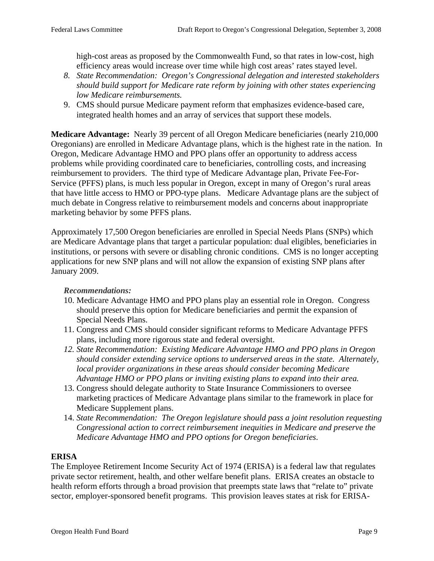high-cost areas as proposed by the Commonwealth Fund, so that rates in low-cost, high efficiency areas would increase over time while high cost areas' rates stayed level.

- *8. State Recommendation: Oregon's Congressional delegation and interested stakeholders should build support for Medicare rate reform by joining with other states experiencing low Medicare reimbursements.*
- 9. CMS should pursue Medicare payment reform that emphasizes evidence-based care, integrated health homes and an array of services that support these models.

**Medicare Advantage:** Nearly 39 percent of all Oregon Medicare beneficiaries (nearly 210,000 Oregonians) are enrolled in Medicare Advantage plans, which is the highest rate in the nation. In Oregon, Medicare Advantage HMO and PPO plans offer an opportunity to address access problems while providing coordinated care to beneficiaries, controlling costs, and increasing reimbursement to providers. The third type of Medicare Advantage plan, Private Fee-For-Service (PFFS) plans, is much less popular in Oregon, except in many of Oregon's rural areas that have little access to HMO or PPO-type plans. Medicare Advantage plans are the subject of much debate in Congress relative to reimbursement models and concerns about inappropriate marketing behavior by some PFFS plans.

Approximately 17,500 Oregon beneficiaries are enrolled in Special Needs Plans (SNPs) which are Medicare Advantage plans that target a particular population: dual eligibles, beneficiaries in institutions, or persons with severe or disabling chronic conditions. CMS is no longer accepting applications for new SNP plans and will not allow the expansion of existing SNP plans after January 2009.

### *Recommendations:*

- 10. Medicare Advantage HMO and PPO plans play an essential role in Oregon. Congress should preserve this option for Medicare beneficiaries and permit the expansion of Special Needs Plans.
- 11. Congress and CMS should consider significant reforms to Medicare Advantage PFFS plans, including more rigorous state and federal oversight.
- *12. State Recommendation: Existing Medicare Advantage HMO and PPO plans in Oregon should consider extending service options to underserved areas in the state. Alternately, local provider organizations in these areas should consider becoming Medicare Advantage HMO or PPO plans or inviting existing plans to expand into their area.*
- 13. Congress should delegate authority to State Insurance Commissioners to oversee marketing practices of Medicare Advantage plans similar to the framework in place for Medicare Supplement plans.
- 14. *State Recommendation: The Oregon legislature should pass a joint resolution requesting Congressional action to correct reimbursement inequities in Medicare and preserve the Medicare Advantage HMO and PPO options for Oregon beneficiaries*.

### **ERISA**

The Employee Retirement Income Security Act of 1974 (ERISA) is a federal law that regulates private sector retirement, health, and other welfare benefit plans. ERISA creates an obstacle to health reform efforts through a broad provision that preempts state laws that "relate to" private sector, employer-sponsored benefit programs. This provision leaves states at risk for ERISA-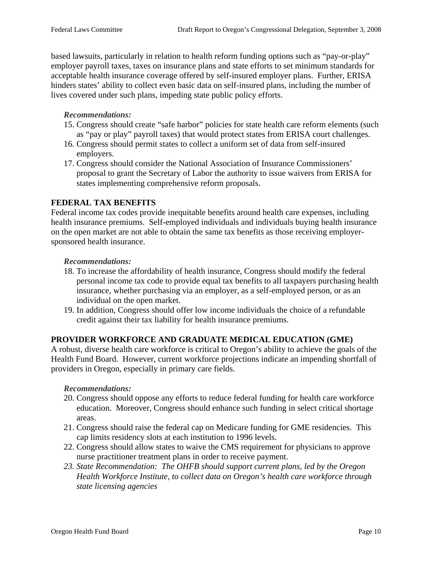based lawsuits, particularly in relation to health reform funding options such as "pay-or-play" employer payroll taxes, taxes on insurance plans and state efforts to set minimum standards for acceptable health insurance coverage offered by self-insured employer plans. Further, ERISA hinders states' ability to collect even basic data on self-insured plans, including the number of lives covered under such plans, impeding state public policy efforts.

### *Recommendations:*

- 15. Congress should create "safe harbor" policies for state health care reform elements (such as "pay or play" payroll taxes) that would protect states from ERISA court challenges.
- 16. Congress should permit states to collect a uniform set of data from self-insured employers.
- 17. Congress should consider the National Association of Insurance Commissioners' proposal to grant the Secretary of Labor the authority to issue waivers from ERISA for states implementing comprehensive reform proposals.

### **FEDERAL TAX BENEFITS**

Federal income tax codes provide inequitable benefits around health care expenses, including health insurance premiums. Self-employed individuals and individuals buying health insurance on the open market are not able to obtain the same tax benefits as those receiving employersponsored health insurance.

#### *Recommendations:*

- 18. To increase the affordability of health insurance, Congress should modify the federal personal income tax code to provide equal tax benefits to all taxpayers purchasing health insurance, whether purchasing via an employer, as a self-employed person, or as an individual on the open market.
- 19. In addition, Congress should offer low income individuals the choice of a refundable credit against their tax liability for health insurance premiums.

#### **PROVIDER WORKFORCE AND GRADUATE MEDICAL EDUCATION (GME)**

A robust, diverse health care workforce is critical to Oregon's ability to achieve the goals of the Health Fund Board. However, current workforce projections indicate an impending shortfall of providers in Oregon, especially in primary care fields.

#### *Recommendations:*

- 20. Congress should oppose any efforts to reduce federal funding for health care workforce education. Moreover, Congress should enhance such funding in select critical shortage areas.
- 21. Congress should raise the federal cap on Medicare funding for GME residencies. This cap limits residency slots at each institution to 1996 levels.
- 22. Congress should allow states to waive the CMS requirement for physicians to approve nurse practitioner treatment plans in order to receive payment.
- *23. State Recommendation: The OHFB should support current plans, led by the Oregon Health Workforce Institute, to collect data on Oregon's health care workforce through state licensing agencies*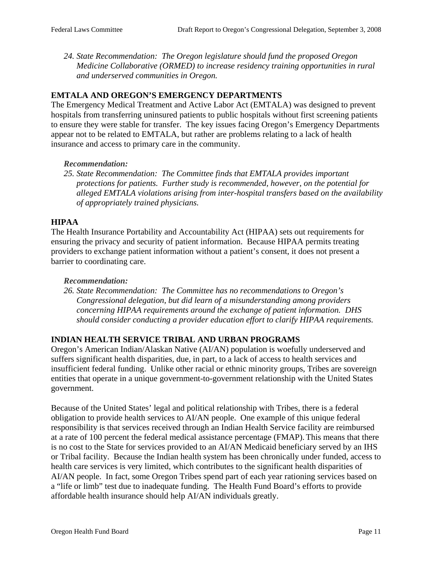*24. State Recommendation: The Oregon legislature should fund the proposed Oregon Medicine Collaborative (ORMED) to increase residency training opportunities in rural and underserved communities in Oregon.* 

### **EMTALA AND OREGON'S EMERGENCY DEPARTMENTS**

The Emergency Medical Treatment and Active Labor Act (EMTALA) was designed to prevent hospitals from transferring uninsured patients to public hospitals without first screening patients to ensure they were stable for transfer. The key issues facing Oregon's Emergency Departments appear not to be related to EMTALA, but rather are problems relating to a lack of health insurance and access to primary care in the community.

### *Recommendation:*

*25. State Recommendation: The Committee finds that EMTALA provides important protections for patients. Further study is recommended, however, on the potential for alleged EMTALA violations arising from inter-hospital transfers based on the availability of appropriately trained physicians.* 

### **HIPAA**

The Health Insurance Portability and Accountability Act (HIPAA) sets out requirements for ensuring the privacy and security of patient information. Because HIPAA permits treating providers to exchange patient information without a patient's consent, it does not present a barrier to coordinating care.

### *Recommendation:*

*26. State Recommendation: The Committee has no recommendations to Oregon's Congressional delegation, but did learn of a misunderstanding among providers concerning HIPAA requirements around the exchange of patient information. DHS should consider conducting a provider education effort to clarify HIPAA requirements.* 

### **INDIAN HEALTH SERVICE TRIBAL AND URBAN PROGRAMS**

Oregon's American Indian/Alaskan Native (AI/AN) population is woefully underserved and suffers significant health disparities, due, in part, to a lack of access to health services and insufficient federal funding. Unlike other racial or ethnic minority groups, Tribes are sovereign entities that operate in a unique government-to-government relationship with the United States government.

Because of the United States' legal and political relationship with Tribes, there is a federal obligation to provide health services to AI/AN people. One example of this unique federal responsibility is that services received through an Indian Health Service facility are reimbursed at a rate of 100 percent the federal medical assistance percentage (FMAP). This means that there is no cost to the State for services provided to an AI/AN Medicaid beneficiary served by an IHS or Tribal facility. Because the Indian health system has been chronically under funded, access to health care services is very limited, which contributes to the significant health disparities of AI/AN people. In fact, some Oregon Tribes spend part of each year rationing services based on a "life or limb" test due to inadequate funding. The Health Fund Board's efforts to provide affordable health insurance should help AI/AN individuals greatly.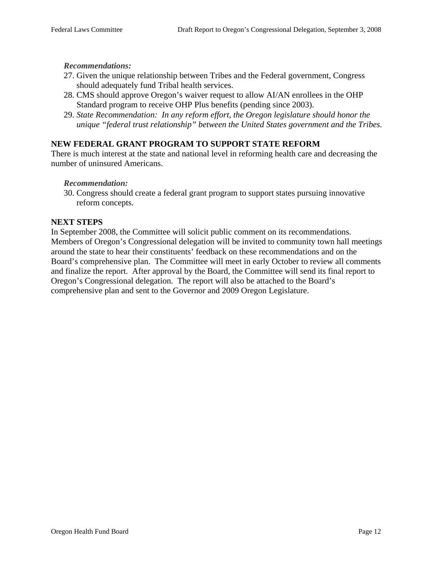#### *Recommendations:*

- 27. Given the unique relationship between Tribes and the Federal government, Congress should adequately fund Tribal health services.
- 28. CMS should approve Oregon's waiver request to allow AI/AN enrollees in the OHP Standard program to receive OHP Plus benefits (pending since 2003).
- 29. *State Recommendation: In any reform effort, the Oregon legislature should honor the unique "federal trust relationship" between the United States government and the Tribes.*

### **NEW FEDERAL GRANT PROGRAM TO SUPPORT STATE REFORM**

There is much interest at the state and national level in reforming health care and decreasing the number of uninsured Americans.

#### *Recommendation:*

30. Congress should create a federal grant program to support states pursuing innovative reform concepts.

#### **NEXT STEPS**

In September 2008, the Committee will solicit public comment on its recommendations. Members of Oregon's Congressional delegation will be invited to community town hall meetings around the state to hear their constituents' feedback on these recommendations and on the Board's comprehensive plan. The Committee will meet in early October to review all comments and finalize the report. After approval by the Board, the Committee will send its final report to Oregon's Congressional delegation. The report will also be attached to the Board's comprehensive plan and sent to the Governor and 2009 Oregon Legislature.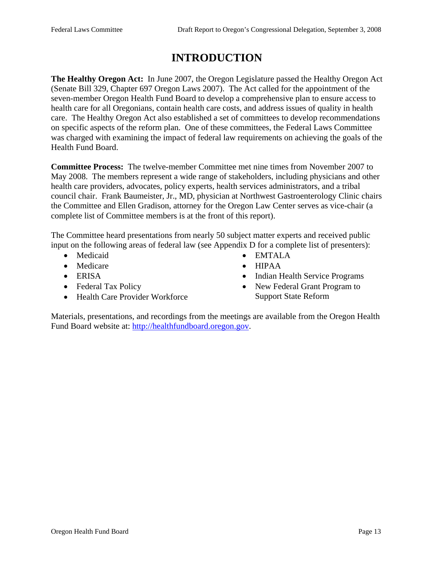### **INTRODUCTION**

**The Healthy Oregon Act:** In June 2007, the Oregon Legislature passed the Healthy Oregon Act (Senate Bill 329, Chapter 697 Oregon Laws 2007). The Act called for the appointment of the seven-member Oregon Health Fund Board to develop a comprehensive plan to ensure access to health care for all Oregonians, contain health care costs, and address issues of quality in health care. The Healthy Oregon Act also established a set of committees to develop recommendations on specific aspects of the reform plan. One of these committees, the Federal Laws Committee was charged with examining the impact of federal law requirements on achieving the goals of the Health Fund Board.

**Committee Process:** The twelve-member Committee met nine times from November 2007 to May 2008. The members represent a wide range of stakeholders, including physicians and other health care providers, advocates, policy experts, health services administrators, and a tribal council chair. Frank Baumeister, Jr., MD, physician at Northwest Gastroenterology Clinic chairs the Committee and Ellen Gradison, attorney for the Oregon Law Center serves as vice-chair (a complete list of Committee members is at the front of this report).

The Committee heard presentations from nearly 50 subject matter experts and received public input on the following areas of federal law (see Appendix D for a complete list of presenters):

- Medicaid
- Medicare
- ERISA
- Federal Tax Policy
- Health Care Provider Workforce
- EMTALA
- HIPAA
- Indian Health Service Programs
- New Federal Grant Program to Support State Reform

Materials, presentations, and recordings from the meetings are available from the Oregon Health Fund Board website at: [http://healthfundboard.oregon.gov](http://healthfundboard.oregon.gov/).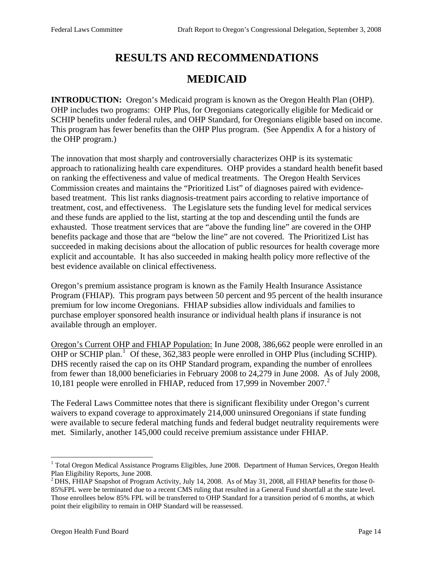## **RESULTS AND RECOMMENDATIONS**

### **MEDICAID**

**INTRODUCTION:** Oregon's Medicaid program is known as the Oregon Health Plan (OHP). OHP includes two programs: OHP Plus, for Oregonians categorically eligible for Medicaid or SCHIP benefits under federal rules, and OHP Standard, for Oregonians eligible based on income. This program has fewer benefits than the OHP Plus program. (See Appendix A for a history of the OHP program.)

The innovation that most sharply and controversially characterizes OHP is its systematic approach to rationalizing health care expenditures. OHP provides a standard health benefit based on ranking the effectiveness and value of medical treatments. The Oregon Health Services Commission creates and maintains the "Prioritized List" of diagnoses paired with evidencebased treatment. This list ranks diagnosis-treatment pairs according to relative importance of treatment, cost, and effectiveness. The Legislature sets the funding level for medical services and these funds are applied to the list, starting at the top and descending until the funds are exhausted. Those treatment services that are "above the funding line" are covered in the OHP benefits package and those that are "below the line" are not covered. The Prioritized List has succeeded in making decisions about the allocation of public resources for health coverage more explicit and accountable. It has also succeeded in making health policy more reflective of the best evidence available on clinical effectiveness.

Oregon's premium assistance program is known as the Family Health Insurance Assistance Program (FHIAP). This program pays between 50 percent and 95 percent of the health insurance premium for low income Oregonians. FHIAP subsidies allow individuals and families to purchase employer sponsored health insurance or individual health plans if insurance is not available through an employer.

Oregon's Current OHP and FHIAP Population: In June 2008, 386,662 people were enrolled in an OHP or SCHIP plan.<sup>[1](#page-13-0)</sup> Of these, 362,383 people were enrolled in OHP Plus (including SCHIP). DHS recently raised the cap on its OHP Standard program, expanding the number of enrollees from fewer than 18,000 beneficiaries in February 2008 to 24,279 in June 2008. As of July 2008, 10,181 people were enrolled in FHIAP, reduced from 17,999 in November [2](#page-13-1)007.<sup>2</sup>

The Federal Laws Committee notes that there is significant flexibility under Oregon's current waivers to expand coverage to approximately 214,000 uninsured Oregonians if state funding were available to secure federal matching funds and federal budget neutrality requirements were met. Similarly, another 145,000 could receive premium assistance under FHIAP.

<span id="page-13-0"></span> $\overline{a}$ <sup>1</sup> Total Oregon Medical Assistance Programs Eligibles, June 2008. Department of Human Services, Oregon Health Plan Eligibility Reports, June 2008.

<span id="page-13-1"></span><sup>&</sup>lt;sup>2</sup> DHS, FHIAP Snapshot of Program Activity, July 14, 2008. As of May 31, 2008, all FHIAP benefits for those 0-85%FPL were be terminated due to a recent CMS ruling that resulted in a General Fund shortfall at the state level. Those enrollees below 85% FPL will be transferred to OHP Standard for a transition period of 6 months, at which point their eligibility to remain in OHP Standard will be reassessed.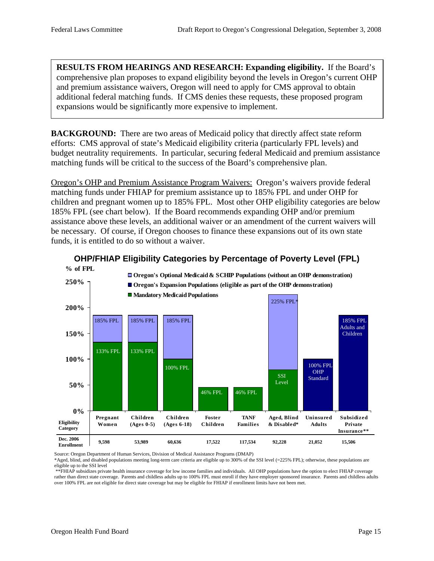**RESULTS FROM HEARINGS AND RESEARCH: Expanding eligibility.** If the Board's comprehensive plan proposes to expand eligibility beyond the levels in Oregon's current OHP and premium assistance waivers, Oregon will need to apply for CMS approval to obtain additional federal matching funds. If CMS denies these requests, these proposed program expansions would be significantly more expensive to implement.

**BACKGROUND:** There are two areas of Medicaid policy that directly affect state reform efforts: CMS approval of state's Medicaid eligibility criteria (particularly FPL levels) and budget neutrality requirements. In particular, securing federal Medicaid and premium assistance matching funds will be critical to the success of the Board's comprehensive plan.

Oregon's OHP and Premium Assistance Program Waivers: Oregon's waivers provide federal matching funds under FHIAP for premium assistance up to 185% FPL and under OHP for children and pregnant women up to 185% FPL. Most other OHP eligibility categories are below 185% FPL (see chart below). If the Board recommends expanding OHP and/or premium assistance above these levels, an additional waiver or an amendment of the current waivers will be necessary. Of course, if Oregon chooses to finance these expansions out of its own state funds, it is entitled to do so without a waiver.



**OHP/FHIAP Eligibility Categories by Percentage of Poverty Level (FPL)**

Source: Oregon Department of Human Services, Division of Medical Assistance Programs (DMAP)

\*Aged, blind, and disabled populations meeting long-term care criteria are eligible up to 300% of the SSI level (=225% FPL); otherwise, these populations are eligible up to the SSI level

 \*\*FHIAP subsidizes private health insurance coverage for low income families and individuals. All OHP populations have the option to elect FHIAP coverage rather than direct state coverage. Parents and childless adults up to 100% FPL must enroll if they have employer sponsored insurance. Parents and childless adults over 100% FPL are not eligible for direct state coverage but may be eligible for FHIAP if enrollment limits have not been met.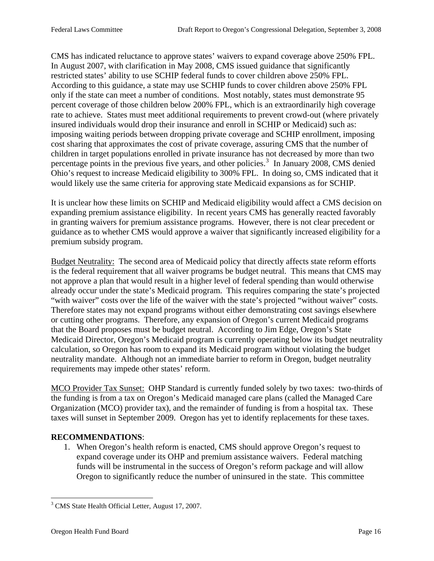CMS has indicated reluctance to approve states' waivers to expand coverage above 250% FPL. In August 2007, with clarification in May 2008, CMS issued guidance that significantly restricted states' ability to use SCHIP federal funds to cover children above 250% FPL. According to this guidance, a state may use SCHIP funds to cover children above 250% FPL only if the state can meet a number of conditions. Most notably, states must demonstrate 95 percent coverage of those children below 200% FPL, which is an extraordinarily high coverage rate to achieve. States must meet additional requirements to prevent crowd-out (where privately insured individuals would drop their insurance and enroll in SCHIP or Medicaid) such as: imposing waiting periods between dropping private coverage and SCHIP enrollment, imposing cost sharing that approximates the cost of private coverage, assuring CMS that the number of children in target populations enrolled in private insurance has not decreased by more than two percentage points in the previous five years, and other policies. $3$  In January 2008, CMS denied Ohio's request to increase Medicaid eligibility to 300% FPL. In doing so, CMS indicated that it would likely use the same criteria for approving state Medicaid expansions as for SCHIP.

It is unclear how these limits on SCHIP and Medicaid eligibility would affect a CMS decision on expanding premium assistance eligibility. In recent years CMS has generally reacted favorably in granting waivers for premium assistance programs. However, there is not clear precedent or guidance as to whether CMS would approve a waiver that significantly increased eligibility for a premium subsidy program.

Budget Neutrality: The second area of Medicaid policy that directly affects state reform efforts is the federal requirement that all waiver programs be budget neutral. This means that CMS may not approve a plan that would result in a higher level of federal spending than would otherwise already occur under the state's Medicaid program. This requires comparing the state's projected "with waiver" costs over the life of the waiver with the state's projected "without waiver" costs. Therefore states may not expand programs without either demonstrating cost savings elsewhere or cutting other programs. Therefore, any expansion of Oregon's current Medicaid programs that the Board proposes must be budget neutral. According to Jim Edge, Oregon's State Medicaid Director, Oregon's Medicaid program is currently operating below its budget neutrality calculation, so Oregon has room to expand its Medicaid program without violating the budget neutrality mandate. Although not an immediate barrier to reform in Oregon, budget neutrality requirements may impede other states' reform.

MCO Provider Tax Sunset: OHP Standard is currently funded solely by two taxes: two-thirds of the funding is from a tax on Oregon's Medicaid managed care plans (called the Managed Care Organization (MCO) provider tax), and the remainder of funding is from a hospital tax. These taxes will sunset in September 2009. Oregon has yet to identify replacements for these taxes.

### **RECOMMENDATIONS**:

1. When Oregon's health reform is enacted, CMS should approve Oregon's request to expand coverage under its OHP and premium assistance waivers. Federal matching funds will be instrumental in the success of Oregon's reform package and will allow Oregon to significantly reduce the number of uninsured in the state. This committee

<span id="page-15-0"></span> $\overline{a}$ <sup>3</sup> CMS State Health Official Letter, August 17, 2007.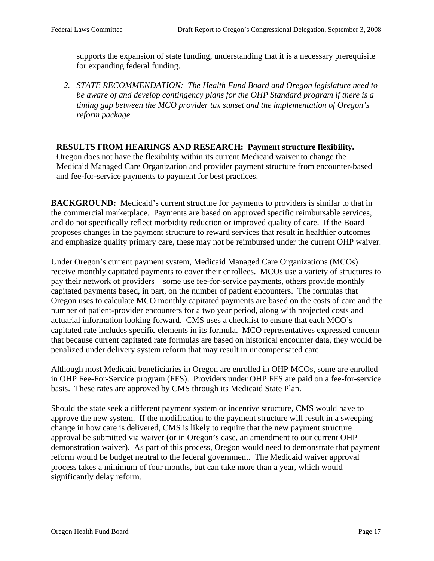supports the expansion of state funding, understanding that it is a necessary prerequisite for expanding federal funding.

*2. STATE RECOMMENDATION: The Health Fund Board and Oregon legislature need to be aware of and develop contingency plans for the OHP Standard program if there is a timing gap between the MCO provider tax sunset and the implementation of Oregon's reform package.* 

**RESULTS FROM HEARINGS AND RESEARCH: Payment structure flexibility.** Oregon does not have the flexibility within its current Medicaid waiver to change the Medicaid Managed Care Organization and provider payment structure from encounter-based and fee-for-service payments to payment for best practices.

**BACKGROUND:** Medicaid's current structure for payments to providers is similar to that in the commercial marketplace. Payments are based on approved specific reimbursable services, and do not specifically reflect morbidity reduction or improved quality of care. If the Board proposes changes in the payment structure to reward services that result in healthier outcomes and emphasize quality primary care, these may not be reimbursed under the current OHP waiver.

Under Oregon's current payment system, Medicaid Managed Care Organizations (MCOs) receive monthly capitated payments to cover their enrollees. MCOs use a variety of structures to pay their network of providers – some use fee-for-service payments, others provide monthly capitated payments based, in part, on the number of patient encounters. The formulas that Oregon uses to calculate MCO monthly capitated payments are based on the costs of care and the number of patient-provider encounters for a two year period, along with projected costs and actuarial information looking forward. CMS uses a checklist to ensure that each MCO's capitated rate includes specific elements in its formula. MCO representatives expressed concern that because current capitated rate formulas are based on historical encounter data, they would be penalized under delivery system reform that may result in uncompensated care.

Although most Medicaid beneficiaries in Oregon are enrolled in OHP MCOs, some are enrolled in OHP Fee-For-Service program (FFS). Providers under OHP FFS are paid on a fee-for-service basis. These rates are approved by CMS through its Medicaid State Plan.

Should the state seek a different payment system or incentive structure, CMS would have to approve the new system. If the modification to the payment structure will result in a sweeping change in how care is delivered, CMS is likely to require that the new payment structure approval be submitted via waiver (or in Oregon's case, an amendment to our current OHP demonstration waiver). As part of this process, Oregon would need to demonstrate that payment reform would be budget neutral to the federal government. The Medicaid waiver approval process takes a minimum of four months, but can take more than a year, which would significantly delay reform.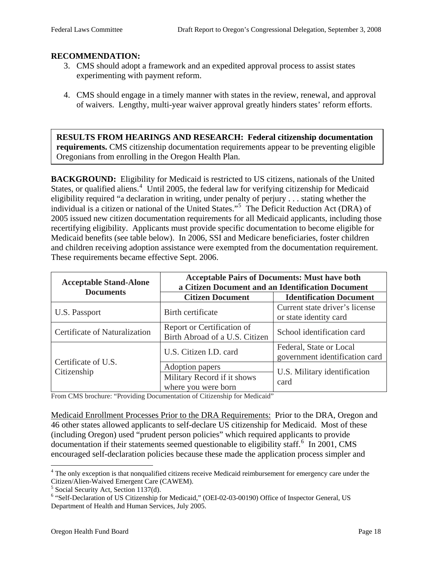#### **RECOMMENDATION:**

- 3. CMS should adopt a framework and an expedited approval process to assist states experimenting with payment reform.
- 4. CMS should engage in a timely manner with states in the review, renewal, and approval of waivers. Lengthy, multi-year waiver approval greatly hinders states' reform efforts.

**RESULTS FROM HEARINGS AND RESEARCH: Federal citizenship documentation requirements.** CMS citizenship documentation requirements appear to be preventing eligible Oregonians from enrolling in the Oregon Health Plan.

**BACKGROUND:** Eligibility for Medicaid is restricted to US citizens, nationals of the United States, or qualified aliens.<sup>[4](#page-17-0)</sup> Until 2005, the federal law for verifying citizenship for Medicaid eligibility required "a declaration in writing, under penalty of perjury . . . stating whether the individual is a citizen or national of the United States."[5](#page-17-1) The Deficit Reduction Act (DRA) of 2005 issued new citizen documentation requirements for all Medicaid applicants, including those recertifying eligibility. Applicants must provide specific documentation to become eligible for Medicaid benefits (see table below). In 2006, SSI and Medicare beneficiaries, foster children and children receiving adoption assistance were exempted from the documentation requirement. These requirements became effective Sept. 2006.

| <b>Acceptable Stand-Alone</b><br><b>Documents</b> | <b>Acceptable Pairs of Documents: Must have both</b><br>a Citizen Document and an Identification Document |                                                           |  |
|---------------------------------------------------|-----------------------------------------------------------------------------------------------------------|-----------------------------------------------------------|--|
|                                                   | <b>Citizen Document</b>                                                                                   | <b>Identification Document</b>                            |  |
| U.S. Passport                                     | Birth certificate                                                                                         | Current state driver's license<br>or state identity card  |  |
| Certificate of Naturalization                     | Report or Certification of<br>Birth Abroad of a U.S. Citizen                                              | School identification card                                |  |
| Certificate of U.S.                               | U.S. Citizen I.D. card                                                                                    | Federal, State or Local<br>government identification card |  |
| Citizenship                                       | Adoption papers<br>Military Record if it shows<br>where you were born                                     | U.S. Military identification<br>card                      |  |

From CMS brochure: "Providing Documentation of Citizenship for Medicaid"

Medicaid Enrollment Processes Prior to the DRA Requirements: Prior to the DRA, Oregon and 46 other states allowed applicants to self-declare US citizenship for Medicaid. Most of these (including Oregon) used "prudent person policies" which required applicants to provide documentation if their statements seemed questionable to eligibility staff.<sup>[6](#page-17-2)</sup> In 2001, CMS encouraged self-declaration policies because these made the application process simpler and

1

<span id="page-17-0"></span><sup>&</sup>lt;sup>4</sup> The only exception is that nonqualified citizens receive Medicaid reimbursement for emergency care under the Citizen/Alien-Waived Emergent Care (CAWEM).

<sup>5</sup> Social Security Act, Section 1137(d).

<span id="page-17-2"></span><span id="page-17-1"></span><sup>&</sup>lt;sup>6</sup> "Self-Declaration of US Citizenship for Medicaid," (OEI-02-03-00190) Office of Inspector General, US Department of Health and Human Services, July 2005.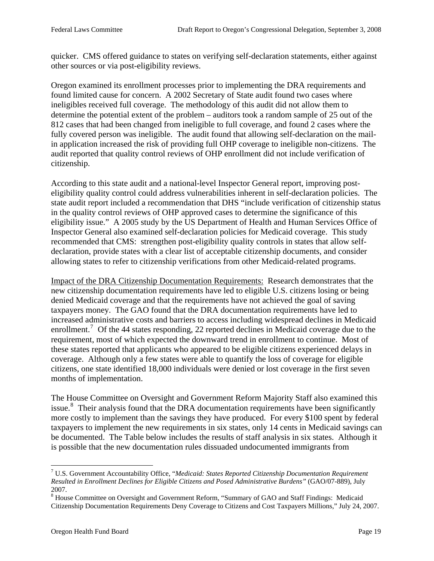quicker. CMS offered guidance to states on verifying self-declaration statements, either against other sources or via post-eligibility reviews.

Oregon examined its enrollment processes prior to implementing the DRA requirements and found limited cause for concern. A 2002 Secretary of State audit found two cases where ineligibles received full coverage. The methodology of this audit did not allow them to determine the potential extent of the problem – auditors took a random sample of 25 out of the 812 cases that had been changed from ineligible to full coverage, and found 2 cases where the fully covered person was ineligible. The audit found that allowing self-declaration on the mailin application increased the risk of providing full OHP coverage to ineligible non-citizens. The audit reported that quality control reviews of OHP enrollment did not include verification of citizenship.

According to this state audit and a national-level Inspector General report, improving posteligibility quality control could address vulnerabilities inherent in self-declaration policies. The state audit report included a recommendation that DHS "include verification of citizenship status in the quality control reviews of OHP approved cases to determine the significance of this eligibility issue." A 2005 study by the US Department of Health and Human Services Office of Inspector General also examined self-declaration policies for Medicaid coverage. This study recommended that CMS: strengthen post-eligibility quality controls in states that allow selfdeclaration, provide states with a clear list of acceptable citizenship documents, and consider allowing states to refer to citizenship verifications from other Medicaid-related programs.

Impact of the DRA Citizenship Documentation Requirements: Research demonstrates that the new citizenship documentation requirements have led to eligible U.S. citizens losing or being denied Medicaid coverage and that the requirements have not achieved the goal of saving taxpayers money. The GAO found that the DRA documentation requirements have led to increased administrative costs and barriers to access including widespread declines in Medicaid enrollment.<sup>[7](#page-18-0)</sup> Of the 44 states responding, 22 reported declines in Medicaid coverage due to the requirement, most of which expected the downward trend in enrollment to continue. Most of these states reported that applicants who appeared to be eligible citizens experienced delays in coverage. Although only a few states were able to quantify the loss of coverage for eligible citizens, one state identified 18,000 individuals were denied or lost coverage in the first seven months of implementation.

The House Committee on Oversight and Government Reform Majority Staff also examined this issue.<sup>[8](#page-18-1)</sup> Their analysis found that the DRA documentation requirements have been significantly more costly to implement than the savings they have produced. For every \$100 spent by federal taxpayers to implement the new requirements in six states, only 14 cents in Medicaid savings can be documented. The Table below includes the results of staff analysis in six states. Although it is possible that the new documentation rules dissuaded undocumented immigrants from

<span id="page-18-0"></span><sup>7</sup> U.S. Government Accountability Office, "*Medicaid: States Reported Citizenship Documentation Requirement Resulted in Enrollment Declines for Eligible Citizens and Posed Administrative Burdens"* (GAO/07-889), July 2007.

<span id="page-18-1"></span><sup>&</sup>lt;sup>8</sup> House Committee on Oversight and Government Reform, "Summary of GAO and Staff Findings: Medicaid Citizenship Documentation Requirements Deny Coverage to Citizens and Cost Taxpayers Millions," July 24, 2007.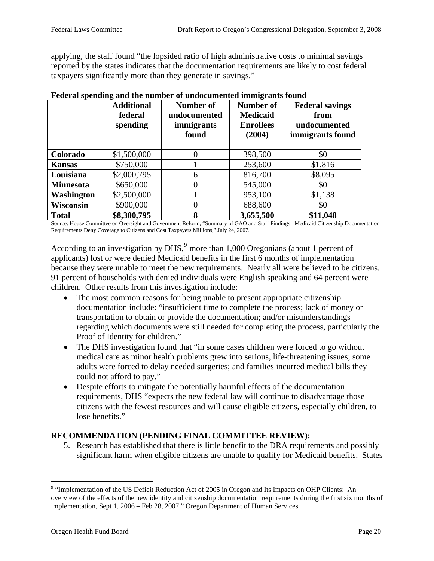applying, the staff found "the lopsided ratio of high administrative costs to minimal savings reported by the states indicates that the documentation requirements are likely to cost federal taxpayers significantly more than they generate in savings."

|                  | <b>Additional</b><br>federal<br>spending | Number of<br>undocumented<br>immigrants<br>found | <b>Number of</b><br><b>Medicaid</b><br><b>Enrollees</b><br>(2004) | <b>Federal savings</b><br>from<br>undocumented<br>immigrants found |
|------------------|------------------------------------------|--------------------------------------------------|-------------------------------------------------------------------|--------------------------------------------------------------------|
| Colorado         | \$1,500,000                              |                                                  | 398,500                                                           | \$0                                                                |
| <b>Kansas</b>    | \$750,000                                |                                                  | 253,600                                                           | \$1,816                                                            |
| Louisiana        | \$2,000,795                              | 6                                                | 816,700                                                           | \$8,095                                                            |
| <b>Minnesota</b> | \$650,000                                | 0                                                | 545,000                                                           | \$0                                                                |
| Washington       | \$2,500,000                              |                                                  | 953,100                                                           | \$1,138                                                            |
| Wisconsin        | \$900,000                                |                                                  | 688,600                                                           | \$0                                                                |
| <b>Total</b>     | \$8,300,795                              | 8                                                | 3,655,500                                                         | \$11,048                                                           |

### **Federal spending and the number of undocumented immigrants found**

Source: House Committee on Oversight and Government Reform, "Summary of GAO and Staff Findings: Medicaid Citizenship Documentation Requirements Deny Coverage to Citizens and Cost Taxpayers Millions," July 24, 2007.

According to an investigation by DHS, $9$  more than 1,000 Oregonians (about 1 percent of applicants) lost or were denied Medicaid benefits in the first 6 months of implementation because they were unable to meet the new requirements. Nearly all were believed to be citizens. 91 percent of households with denied individuals were English speaking and 64 percent were children. Other results from this investigation include:

- The most common reasons for being unable to present appropriate citizenship documentation include: "insufficient time to complete the process; lack of money or transportation to obtain or provide the documentation; and/or misunderstandings regarding which documents were still needed for completing the process, particularly the Proof of Identity for children."
- The DHS investigation found that "in some cases children were forced to go without medical care as minor health problems grew into serious, life-threatening issues; some adults were forced to delay needed surgeries; and families incurred medical bills they could not afford to pay."
- Despite efforts to mitigate the potentially harmful effects of the documentation requirements, DHS "expects the new federal law will continue to disadvantage those citizens with the fewest resources and will cause eligible citizens, especially children, to lose benefits."

### **RECOMMENDATION (PENDING FINAL COMMITTEE REVIEW):**

5. Research has established that there is little benefit to the DRA requirements and possibly significant harm when eligible citizens are unable to qualify for Medicaid benefits. States

1

<span id="page-19-0"></span><sup>&</sup>lt;sup>9</sup> "Implementation of the US Deficit Reduction Act of 2005 in Oregon and Its Impacts on OHP Clients: An overview of the effects of the new identity and citizenship documentation requirements during the first six months of implementation, Sept 1, 2006 – Feb 28, 2007," Oregon Department of Human Services.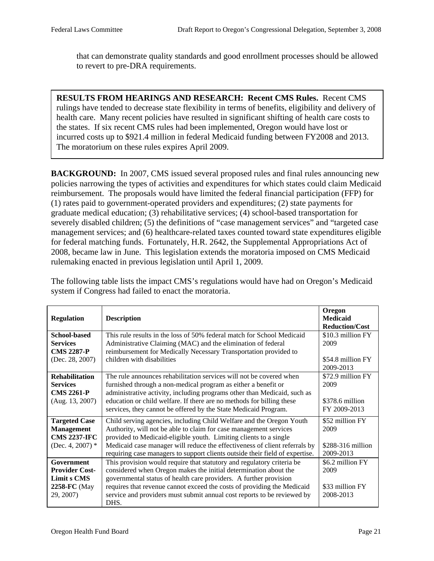that can demonstrate quality standards and good enrollment processes should be allowed to revert to pre-DRA requirements.

**RESULTS FROM HEARINGS AND RESEARCH: Recent CMS Rules.** Recent CMS rulings have tended to decrease state flexibility in terms of benefits, eligibility and delivery of health care. Many recent policies have resulted in significant shifting of health care costs to the states. If six recent CMS rules had been implemented, Oregon would have lost or incurred costs up to \$921.4 million in federal Medicaid funding between FY2008 and 2013. The moratorium on these rules expires April 2009.

**BACKGROUND:** In 2007, CMS issued several proposed rules and final rules announcing new policies narrowing the types of activities and expenditures for which states could claim Medicaid reimbursement. The proposals would have limited the federal financial participation (FFP) for (1) rates paid to government-operated providers and expenditures; (2) state payments for graduate medical education; (3) rehabilitative services; (4) school-based transportation for severely disabled children; (5) the definitions of "case management services" and "targeted case management services; and (6) healthcare-related taxes counted toward state expenditures eligible for federal matching funds. Fortunately, H.R. 2642, the Supplemental Appropriations Act of 2008, became law in June. This legislation extends the moratoria imposed on CMS Medicaid rulemaking enacted in previous legislation until April 1, 2009.

|                       |                                                                              | Oregon                |
|-----------------------|------------------------------------------------------------------------------|-----------------------|
|                       |                                                                              | <b>Medicaid</b>       |
| <b>Regulation</b>     | <b>Description</b>                                                           |                       |
|                       |                                                                              | <b>Reduction/Cost</b> |
| <b>School-based</b>   | This rule results in the loss of 50% federal match for School Medicaid       | \$10.3 million FY     |
| <b>Services</b>       | Administrative Claiming (MAC) and the elimination of federal                 | 2009                  |
| <b>CMS 2287-P</b>     | reimbursement for Medically Necessary Transportation provided to             |                       |
| (Dec. 28, 2007)       | children with disabilities                                                   | \$54.8 million FY     |
|                       |                                                                              | 2009-2013             |
| <b>Rehabilitation</b> | The rule announces rehabilitation services will not be covered when          | \$72.9 million FY     |
| <b>Services</b>       | furnished through a non-medical program as either a benefit or               | 2009                  |
| <b>CMS 2261-P</b>     | administrative activity, including programs other than Medicaid, such as     |                       |
| (Aug. 13, 2007)       | education or child welfare. If there are no methods for billing these        | \$378.6 million       |
|                       | services, they cannot be offered by the State Medicaid Program.              | FY 2009-2013          |
|                       |                                                                              |                       |
| <b>Targeted Case</b>  | Child serving agencies, including Child Welfare and the Oregon Youth         | \$52 million FY       |
| <b>Management</b>     | Authority, will not be able to claim for case management services            | 2009                  |
| <b>CMS 2237-IFC</b>   | provided to Medicaid-eligible youth. Limiting clients to a single            |                       |
| (Dec. 4, 2007) $*$    | Medicaid case manager will reduce the effectiveness of client referrals by   | \$288-316 million     |
|                       | requiring case managers to support clients outside their field of expertise. | 2009-2013             |
| <b>Government</b>     | This provision would require that statutory and regulatory criteria be       | \$6.2 million FY      |
| <b>Provider Cost-</b> | considered when Oregon makes the initial determination about the             | 2009                  |
| Limit s CMS           | governmental status of health care providers. A further provision            |                       |
| 2258-FC (May          | requires that revenue cannot exceed the costs of providing the Medicaid      | \$33 million FY       |
| 29, 2007)             | service and providers must submit annual cost reports to be reviewed by      | 2008-2013             |
|                       | DHS.                                                                         |                       |

The following table lists the impact CMS's regulations would have had on Oregon's Medicaid system if Congress had failed to enact the moratoria.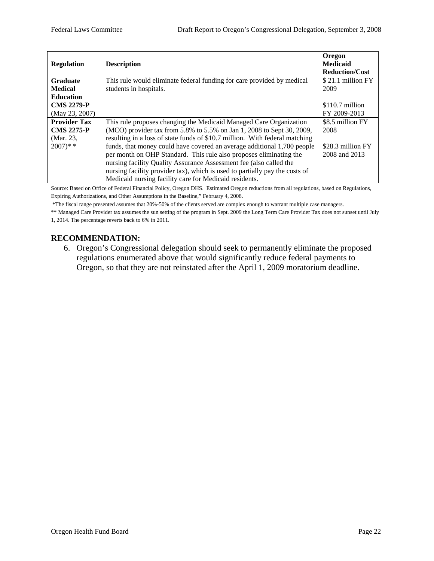|                     |                                                                             | Oregon                |
|---------------------|-----------------------------------------------------------------------------|-----------------------|
| <b>Regulation</b>   | <b>Description</b>                                                          | <b>Medicaid</b>       |
|                     |                                                                             | <b>Reduction/Cost</b> |
| <b>Graduate</b>     | This rule would eliminate federal funding for care provided by medical      | \$21.1 million FY     |
| <b>Medical</b>      | students in hospitals.                                                      | 2009                  |
| <b>Education</b>    |                                                                             |                       |
| <b>CMS 2279-P</b>   |                                                                             | $$110.7$ million      |
| (May 23, 2007)      |                                                                             | FY 2009-2013          |
| <b>Provider Tax</b> | This rule proposes changing the Medicaid Managed Care Organization          | \$8.5 million FY      |
| <b>CMS 2275-P</b>   | (MCO) provider tax from 5.8% to 5.5% on Jan 1, 2008 to Sept 30, 2009,       | 2008                  |
| (Mar. 23,           | resulting in a loss of state funds of \$10.7 million. With federal matching |                       |
| $2007)**$           | funds, that money could have covered an average additional 1,700 people     | \$28.3 million FY     |
|                     | per month on OHP Standard. This rule also proposes eliminating the          | 2008 and 2013         |
|                     | nursing facility Quality Assurance Assessment fee (also called the          |                       |
|                     | nursing facility provider tax), which is used to partially pay the costs of |                       |
|                     | Medicaid nursing facility care for Medicaid residents.                      |                       |

Source: Based on Office of Federal Financial Policy, Oregon DHS. Estimated Oregon reductions from all regulations, based on Regulations, Expiring Authorizations, and Other Assumptions in the Baseline," February 4, 2008.

\*The fiscal range presented assumes that 20%-50% of the clients served are complex enough to warrant multiple case managers.

\*\* Managed Care Provider tax assumes the sun setting of the program in Sept. 2009 the Long Term Care Provider Tax does not sunset until July

1, 2014. The percentage reverts back to 6% in 2011.

#### **RECOMMENDATION:**

6. Oregon's Congressional delegation should seek to permanently eliminate the proposed regulations enumerated above that would significantly reduce federal payments to Oregon, so that they are not reinstated after the April 1, 2009 moratorium deadline.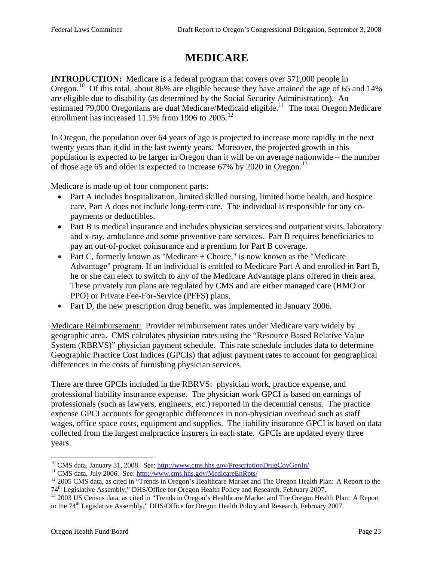### **MEDICARE**

**INTRODUCTION:** Medicare is a federal program that covers over 571,000 people in Oregon.<sup>[10](#page-22-0)</sup> Of this total, about 86% are eligible because they have attained the age of 65 and 14% are eligible due to disability (as determined by the Social Security Administration). An estimated 79,000 Oregonians are dual Medicare/Medicaid eligible.<sup>[11](#page-22-1)</sup> The total Oregon Medicare enrollment has increased  $11.5\%$  from 1996 to  $2005$ .<sup>[12](#page-22-2)</sup>

In Oregon, the population over 64 years of age is projected to increase more rapidly in the next twenty years than it did in the last twenty years. Moreover, the projected growth in this population is expected to be larger in Oregon than it will be on average nationwide – the number of those age 65 and older is expected to increase 67% by 2020 in Oregon.[13](#page-22-3)

Medicare is made up of four component parts:

- Part A includes hospitalization, limited skilled nursing, limited home health, and hospice care. Part A does not include long-term care. The individual is responsible for any copayments or deductibles.
- Part B is medical insurance and includes physician services and outpatient visits, laboratory and x-ray, ambulance and some preventive care services. Part B requires beneficiaries to pay an out-of-pocket coinsurance and a premium for Part B coverage.
- Part C, formerly known as "Medicare + Choice," is now known as the "Medicare" Advantage" program. If an individual is entitled to Medicare Part A and enrolled in Part B, he or she can elect to switch to any of the Medicare Advantage plans offered in their area. These privately run plans are regulated by CMS and are either managed care (HMO or PPO) or Private Fee-For-Service (PFFS) plans.
- Part D, the new prescription drug benefit, was implemented in January 2006.

Medicare Reimbursement: Provider reimbursement rates under Medicare vary widely by geographic area. CMS calculates physician rates using the "Resource Based Relative Value System (RBRVS)" physician payment schedule. This rate schedule includes data to determine Geographic Practice Cost Indices (GPCIs) that adjust payment rates to account for geographical differences in the costs of furnishing physician services.

There are three GPCIs included in the RBRVS: physician work, practice expense, and professional liability insurance expense. The physician work GPCI is based on earnings of professionals (such as lawyers, engineers, etc.) reported in the decennial census. The practice expense GPCI accounts for geographic differences in non-physician overhead such as staff wages, office space costs, equipment and supplies. The liability insurance GPCI is based on data collected from the largest malpractice insurers in each state. GPCIs are updated every three years.

 $\overline{a}$ 

<span id="page-22-2"></span><span id="page-22-1"></span>

<span id="page-22-0"></span><sup>&</sup>lt;sup>10</sup> CMS data, January 31, 200[8. See:](http://www.cms.hhs.gov/MedicareEnRpts/)  $\frac{http://www.cms.hhs.gov/Prescription DrugCovGenIn/}{$ <sup>11</sup> CMS data, July 2006. See: <http://www.cms.hhs.gov/MedicareEnRpts/><sup>12</sup>  
\n2005 CMS data, as cited in "Trends in Oregon's Healthcare Market and The Oregon Health Plan: A Report to the 74<sup>th</sup> Legislative Assembly," DHS/Office for Oregon Health Policy and Research, February 2007.

<span id="page-22-3"></span><sup>&</sup>lt;sup>13</sup> 2003 US Census data, as cited in "Trends in Oregon's Healthcare Market and The Oregon Health Plan: A Report to the 74<sup>th</sup> Legislative Assembly," DHS/Office for Oregon Health Policy and Research, February 2007.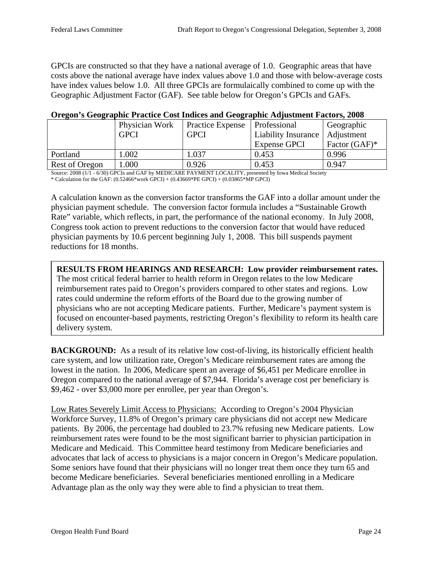GPCIs are constructed so that they have a national average of 1.0. Geographic areas that have costs above the national average have index values above 1.0 and those with below-average costs have index values below 1.0. All three GPCIs are formulaically combined to come up with the Geographic Adjustment Factor (GAF). See table below for Oregon's GPCIs and GAFs.

|                       |                |                  | <u>Orgon a Ocogrupine i ruence coal murea unu Ocogrupine riujuament i ucioral sovo</u> |                  |
|-----------------------|----------------|------------------|----------------------------------------------------------------------------------------|------------------|
|                       | Physician Work | Practice Expense | Professional                                                                           | Geographic       |
|                       | <b>GPCI</b>    | <b>GPCI</b>      | Liability Insurance                                                                    | Adjustment       |
|                       |                |                  | <b>Expense GPCI</b>                                                                    | Factor $(GAF)^*$ |
| Portland              | .002           | 1.037            | 0.453                                                                                  | 0.996            |
| <b>Rest of Oregon</b> | .000           | 0.926            | 0.453                                                                                  | 0.947            |

#### **Oregon's Geographic Practice Cost Indices and Geographic Adjustment Factors, 2008**

Source: 2008 (1/1 - 6/30) GPCIs and GAF by MEDICARE PAYMENT LOCALITY, presented by Iowa Medical Society

\* Calculation for the GAF: (0.52466\*work GPCI) + (0.43669\*PE GPCI) + (0.03865\*MP GPCI)

A calculation known as the conversion factor transforms the GAF into a dollar amount under the physician payment schedule. The conversion factor formula includes a "Sustainable Growth Rate" variable, which reflects, in part, the performance of the national economy. In July 2008, Congress took action to prevent reductions to the conversion factor that would have reduced physician payments by 10.6 percent beginning July 1, 2008. This bill suspends payment reductions for 18 months.

**RESULTS FROM HEARINGS AND RESEARCH: Low provider reimbursement rates.**  The most critical federal barrier to health reform in Oregon relates to the low Medicare reimbursement rates paid to Oregon's providers compared to other states and regions. Low rates could undermine the reform efforts of the Board due to the growing number of physicians who are not accepting Medicare patients. Further, Medicare's payment system is focused on encounter-based payments, restricting Oregon's flexibility to reform its health care delivery system.

**BACKGROUND:** As a result of its relative low cost-of-living, its historically efficient health care system, and low utilization rate, Oregon's Medicare reimbursement rates are among the lowest in the nation. In 2006, Medicare spent an average of \$6,451 per Medicare enrollee in Oregon compared to the national average of \$7,944. Florida's average cost per beneficiary is \$9,462 - over \$3,000 more per enrollee, per year than Oregon's.

Low Rates Severely Limit Access to Physicians: According to Oregon's 2004 Physician Workforce Survey, 11.8% of Oregon's primary care physicians did not accept new Medicare patients. By 2006, the percentage had doubled to 23.7% refusing new Medicare patients. Low reimbursement rates were found to be the most significant barrier to physician participation in Medicare and Medicaid. This Committee heard testimony from Medicare beneficiaries and advocates that lack of access to physicians is a major concern in Oregon's Medicare population. Some seniors have found that their physicians will no longer treat them once they turn 65 and become Medicare beneficiaries. Several beneficiaries mentioned enrolling in a Medicare Advantage plan as the only way they were able to find a physician to treat them.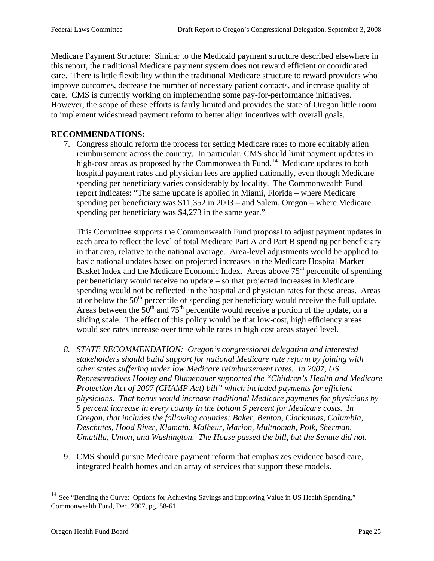Medicare Payment Structure: Similar to the Medicaid payment structure described elsewhere in this report, the traditional Medicare payment system does not reward efficient or coordinated care. There is little flexibility within the traditional Medicare structure to reward providers who improve outcomes, decrease the number of necessary patient contacts, and increase quality of care. CMS is currently working on implementing some pay-for-performance initiatives. However, the scope of these efforts is fairly limited and provides the state of Oregon little room to implement widespread payment reform to better align incentives with overall goals.

### **RECOMMENDATIONS:**

7. Congress should reform the process for setting Medicare rates to more equitably align reimbursement across the country. In particular, CMS should limit payment updates in high-cost areas as proposed by the Commonwealth Fund.<sup>[14](#page-24-0)</sup> Medicare updates to both hospital payment rates and physician fees are applied nationally, even though Medicare spending per beneficiary varies considerably by locality. The Commonwealth Fund report indicates: "The same update is applied in Miami, Florida – where Medicare spending per beneficiary was \$11,352 in 2003 – and Salem, Oregon – where Medicare spending per beneficiary was \$4,273 in the same year."

This Committee supports the Commonwealth Fund proposal to adjust payment updates in each area to reflect the level of total Medicare Part A and Part B spending per beneficiary in that area, relative to the national average. Area-level adjustments would be applied to basic national updates based on projected increases in the Medicare Hospital Market Basket Index and the Medicare Economic Index. Areas above  $75<sup>th</sup>$  percentile of spending per beneficiary would receive no update – so that projected increases in Medicare spending would not be reflected in the hospital and physician rates for these areas. Areas at or below the  $50<sup>th</sup>$  percentile of spending per beneficiary would receive the full update. Areas between the  $50^{th}$  and  $75^{th}$  percentile would receive a portion of the update, on a sliding scale. The effect of this policy would be that low-cost, high efficiency areas would see rates increase over time while rates in high cost areas stayed level.

- *8. STATE RECOMMENDATION: Oregon's congressional delegation and interested stakeholders should build support for national Medicare rate reform by joining with other states suffering under low Medicare reimbursement rates. In 2007, US Representatives Hooley and Blumenauer supported the "Children's Health and Medicare Protection Act of 2007 (CHAMP Act) bill" which included payments for efficient physicians. That bonus would increase traditional Medicare payments for physicians by 5 percent increase in every county in the bottom 5 percent for Medicare costs. In Oregon, that includes the following counties: Baker, Benton, Clackamas, Columbia, Deschutes, Hood River, Klamath, Malheur, Marion, Multnomah, Polk, Sherman, Umatilla, Union, and Washington. The House passed the bill, but the Senate did not.*
- 9. CMS should pursue Medicare payment reform that emphasizes evidence based care, integrated health homes and an array of services that support these models.

1

<span id="page-24-0"></span> $14$  See "Bending the Curve: Options for Achieving Savings and Improving Value in US Health Spending," Commonwealth Fund, Dec. 2007, pg. 58-61.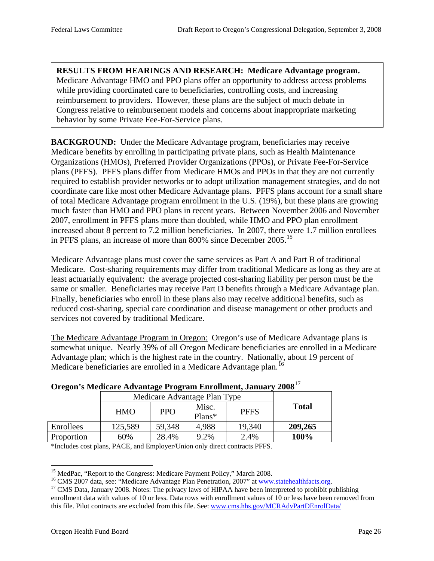**RESULTS FROM HEARINGS AND RESEARCH: Medicare Advantage program.**  Medicare Advantage HMO and PPO plans offer an opportunity to address access problems while providing coordinated care to beneficiaries, controlling costs, and increasing reimbursement to providers. However, these plans are the subject of much debate in Congress relative to reimbursement models and concerns about inappropriate marketing behavior by some Private Fee-For-Service plans.

**BACKGROUND:** Under the Medicare Advantage program, beneficiaries may receive Medicare benefits by enrolling in participating private plans, such as Health Maintenance Organizations (HMOs), Preferred Provider Organizations (PPOs), or Private Fee-For-Service plans (PFFS). PFFS plans differ from Medicare HMOs and PPOs in that they are not currently required to establish provider networks or to adopt utilization management strategies, and do not coordinate care like most other Medicare Advantage plans. PFFS plans account for a small share of total Medicare Advantage program enrollment in the U.S. (19%), but these plans are growing much faster than HMO and PPO plans in recent years. Between November 2006 and November 2007, enrollment in PFFS plans more than doubled, while HMO and PPO plan enrollment increased about 8 percent to 7.2 million beneficiaries. In 2007, there were 1.7 million enrollees in PFFS plans, an increase of more than 800% since December 2005.<sup>[15](#page-25-0)</sup>

Medicare Advantage plans must cover the same services as Part A and Part B of traditional Medicare. Cost-sharing requirements may differ from traditional Medicare as long as they are at least actuarially equivalent: the average projected cost-sharing liability per person must be the same or smaller. Beneficiaries may receive Part D benefits through a Medicare Advantage plan. Finally, beneficiaries who enroll in these plans also may receive additional benefits, such as reduced cost-sharing, special care coordination and disease management or other products and services not covered by traditional Medicare.

The Medicare Advantage Program in Oregon: Oregon's use of Medicare Advantage plans is somewhat unique. Nearly 39% of all Oregon Medicare beneficiaries are enrolled in a Medicare Advantage plan; which is the highest rate in the country. Nationally, about 19 percent of Medicare beneficiaries are enrolled in a Medicare Advantage plan.<sup>[16](#page-25-1)</sup>

| Orgon b medicate me annage i rogram Emfonment oandary 4000 |                              |            |                 |             |              |
|------------------------------------------------------------|------------------------------|------------|-----------------|-------------|--------------|
|                                                            | Medicare Advantage Plan Type |            |                 |             |              |
|                                                            | <b>HMO</b>                   | <b>PPO</b> | Misc.<br>Plans* | <b>PFFS</b> | <b>Total</b> |
| Enrollees                                                  | 125,589                      | 59,348     | 4,988           | 19,340      | 209,265      |
| Proportion                                                 | 60%                          | 28.4%      | 9.2%            | 2.4%        | 100%         |

### **Oregon's Medicare Advantage Program Enrollment, January 2008**[17](#page-25-2)

\*Includes cost plans, PACE, and Employer/Union only direct contracts PFFS.

<span id="page-25-0"></span><sup>&</sup>lt;sup>15</sup> MedPac, "Report to the Congress: Medicare Payment Policy," March 2008.

<span id="page-25-1"></span><sup>&</sup>lt;sup>16</sup> CMS 2007 data, see: "Medicare Advantage Plan Penetration, 2007" at [www.statehealthfacts.org](http://www.statehealthfacts.org/). <sup>17</sup> CMS Data, January 2008. Notes: The privacy laws of HIPAA have been interpreted to prohibit publishing

<span id="page-25-2"></span>enrollment data with values of 10 or less. Data rows with enrollment values of 10 or less have been removed from this file. Pilot contracts are excluded from this file. See: [www.cms.hhs.gov/MCRAdvPartDEnrolData/](http://www.cms.hhs.gov/MCRAdvPartDEnrolData/)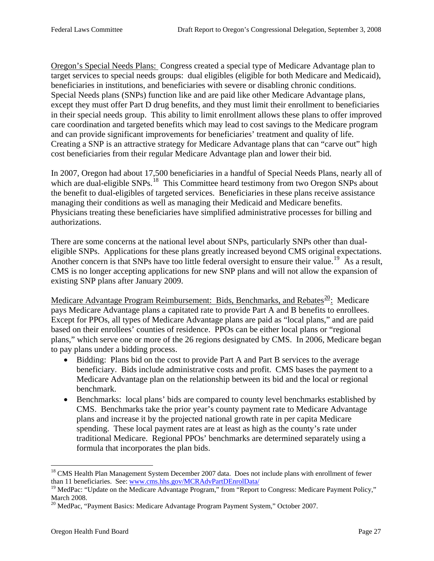Oregon's Special Needs Plans: Congress created a special type of Medicare Advantage plan to target services to special needs groups: dual eligibles (eligible for both Medicare and Medicaid), beneficiaries in institutions, and beneficiaries with severe or disabling chronic conditions. Special Needs plans (SNPs) function like and are paid like other Medicare Advantage plans, except they must offer Part D drug benefits, and they must limit their enrollment to beneficiaries in their special needs group. This ability to limit enrollment allows these plans to offer improved care coordination and targeted benefits which may lead to cost savings to the Medicare program and can provide significant improvements for beneficiaries' treatment and quality of life. Creating a SNP is an attractive strategy for Medicare Advantage plans that can "carve out" high cost beneficiaries from their regular Medicare Advantage plan and lower their bid.

In 2007, Oregon had about 17,500 beneficiaries in a handful of Special Needs Plans, nearly all of which are dual-eligible SNPs.<sup>[18](#page-26-0)</sup> This Committee heard testimony from two Oregon SNPs about the benefit to dual-eligibles of targeted services. Beneficiaries in these plans receive assistance managing their conditions as well as managing their Medicaid and Medicare benefits. Physicians treating these beneficiaries have simplified administrative processes for billing and authorizations.

There are some concerns at the national level about SNPs, particularly SNPs other than dualeligible SNPs. Applications for these plans greatly increased beyond CMS original expectations. Another concern is that SNPs have too little federal oversight to ensure their value.<sup>[19](#page-26-1)</sup> As a result, CMS is no longer accepting applications for new SNP plans and will not allow the expansion of existing SNP plans after January 2009.

Medicare Advantage Program Reimbursement: Bids, Benchmarks, and Rebates $^{20}$  $^{20}$  $^{20}$ : Medicare pays Medicare Advantage plans a capitated rate to provide Part A and B benefits to enrollees. Except for PPOs, all types of Medicare Advantage plans are paid as "local plans," and are paid based on their enrollees' counties of residence. PPOs can be either local plans or "regional plans," which serve one or more of the 26 regions designated by CMS. In 2006, Medicare began to pay plans under a bidding process.

- Bidding: Plans bid on the cost to provide Part A and Part B services to the average beneficiary. Bids include administrative costs and profit. CMS bases the payment to a Medicare Advantage plan on the relationship between its bid and the local or regional benchmark.
- Benchmarks: local plans' bids are compared to county level benchmarks established by CMS. Benchmarks take the prior year's county payment rate to Medicare Advantage plans and increase it by the projected national growth rate in per capita Medicare spending. These local payment rates are at least as high as the county's rate under traditional Medicare. Regional PPOs' benchmarks are determined separately using a formula that incorporates the plan bids.

<span id="page-26-0"></span><sup>&</sup>lt;sup>18</sup> CMS Health Plan Management System December 2007 data. Does not include plans with enrollment of fewer than 11 beneficiaries. See: [www.cms.hhs.gov/MCRAdvPartDEnrolData/](http://www.cms.hhs.gov/MCRAdvPartDEnrolData/)

<span id="page-26-1"></span><sup>&</sup>lt;sup>19</sup> MedPac: "Update on the Medicare Advantage Program," from "Report to Congress: Medicare Payment Policy," March 2008.

<span id="page-26-2"></span><sup>&</sup>lt;sup>20</sup> MedPac, "Payment Basics: Medicare Advantage Program Payment System," October 2007.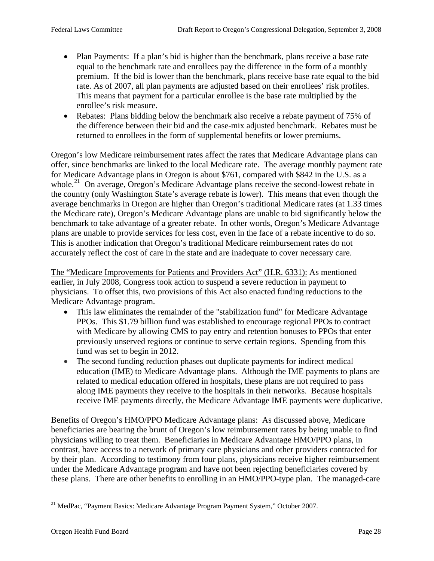- Plan Payments: If a plan's bid is higher than the benchmark, plans receive a base rate equal to the benchmark rate and enrollees pay the difference in the form of a monthly premium. If the bid is lower than the benchmark, plans receive base rate equal to the bid rate. As of 2007, all plan payments are adjusted based on their enrollees' risk profiles. This means that payment for a particular enrollee is the base rate multiplied by the enrollee's risk measure.
- Rebates: Plans bidding below the benchmark also receive a rebate payment of 75% of the difference between their bid and the case-mix adjusted benchmark. Rebates must be returned to enrollees in the form of supplemental benefits or lower premiums.

Oregon's low Medicare reimbursement rates affect the rates that Medicare Advantage plans can offer, since benchmarks are linked to the local Medicare rate. The average monthly payment rate for Medicare Advantage plans in Oregon is about \$761, compared with \$842 in the U.S. as a whole.<sup>[21](#page-27-0)</sup> On average, Oregon's Medicare Advantage plans receive the second-lowest rebate in the country (only Washington State's average rebate is lower). This means that even though the average benchmarks in Oregon are higher than Oregon's traditional Medicare rates (at 1.33 times the Medicare rate), Oregon's Medicare Advantage plans are unable to bid significantly below the benchmark to take advantage of a greater rebate. In other words, Oregon's Medicare Advantage plans are unable to provide services for less cost, even in the face of a rebate incentive to do so. This is another indication that Oregon's traditional Medicare reimbursement rates do not accurately reflect the cost of care in the state and are inadequate to cover necessary care.

The "Medicare Improvements for Patients and Providers Act" (H.R. 6331): As mentioned earlier, in July 2008, Congress took action to suspend a severe reduction in payment to physicians. To offset this, two provisions of this Act also enacted funding reductions to the Medicare Advantage program.

- This law eliminates the remainder of the "stabilization fund" for Medicare Advantage PPOs. This \$1.79 billion fund was established to encourage regional PPOs to contract with Medicare by allowing CMS to pay entry and retention bonuses to PPOs that enter previously unserved regions or continue to serve certain regions. Spending from this fund was set to begin in 2012.
- The second funding reduction phases out duplicate payments for indirect medical education (IME) to Medicare Advantage plans. Although the IME payments to plans are related to medical education offered in hospitals, these plans are not required to pass along IME payments they receive to the hospitals in their networks. Because hospitals receive IME payments directly, the Medicare Advantage IME payments were duplicative.

Benefits of Oregon's HMO/PPO Medicare Advantage plans: As discussed above, Medicare beneficiaries are bearing the brunt of Oregon's low reimbursement rates by being unable to find physicians willing to treat them. Beneficiaries in Medicare Advantage HMO/PPO plans, in contrast, have access to a network of primary care physicians and other providers contracted for by their plan. According to testimony from four plans, physicians receive higher reimbursement under the Medicare Advantage program and have not been rejecting beneficiaries covered by these plans. There are other benefits to enrolling in an HMO/PPO-type plan. The managed-care

<span id="page-27-0"></span> $21$  MedPac, "Payment Basics: Medicare Advantage Program Payment System," October 2007.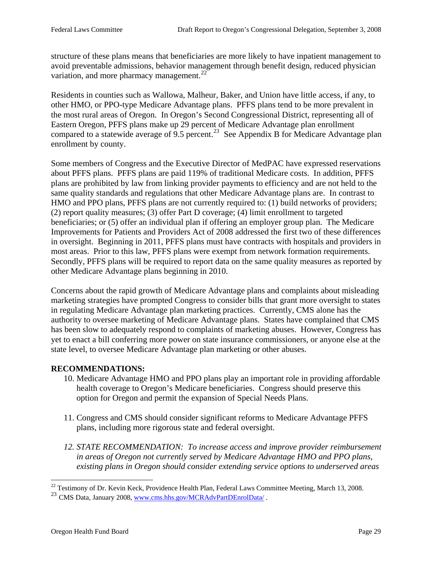structure of these plans means that beneficiaries are more likely to have inpatient management to avoid preventable admissions, behavior management through benefit design, reduced physician variation, and more pharmacy management.<sup>[22](#page-28-0)</sup>

Residents in counties such as Wallowa, Malheur, Baker, and Union have little access, if any, to other HMO, or PPO-type Medicare Advantage plans. PFFS plans tend to be more prevalent in the most rural areas of Oregon. In Oregon's Second Congressional District, representing all of Eastern Oregon, PFFS plans make up 29 percent of Medicare Advantage plan enrollment compared to a statewide average of 9.5 percent.<sup>[23](#page-28-1)</sup> See Appendix B for Medicare Advantage plan enrollment by county.

Some members of Congress and the Executive Director of MedPAC have expressed reservations about PFFS plans. PFFS plans are paid 119% of traditional Medicare costs. In addition, PFFS plans are prohibited by law from linking provider payments to efficiency and are not held to the same quality standards and regulations that other Medicare Advantage plans are. In contrast to HMO and PPO plans, PFFS plans are not currently required to: (1) build networks of providers; (2) report quality measures; (3) offer Part D coverage; (4) limit enrollment to targeted beneficiaries; or (5) offer an individual plan if offering an employer group plan. The Medicare Improvements for Patients and Providers Act of 2008 addressed the first two of these differences in oversight. Beginning in 2011, PFFS plans must have contracts with hospitals and providers in most areas. Prior to this law, PFFS plans were exempt from network formation requirements. Secondly, PFFS plans will be required to report data on the same quality measures as reported by other Medicare Advantage plans beginning in 2010.

Concerns about the rapid growth of Medicare Advantage plans and complaints about misleading marketing strategies have prompted Congress to consider bills that grant more oversight to states in regulating Medicare Advantage plan marketing practices. Currently, CMS alone has the authority to oversee marketing of Medicare Advantage plans. States have complained that CMS has been slow to adequately respond to complaints of marketing abuses. However, Congress has yet to enact a bill conferring more power on state insurance commissioners, or anyone else at the state level, to oversee Medicare Advantage plan marketing or other abuses.

### **RECOMMENDATIONS:**

- 10. Medicare Advantage HMO and PPO plans play an important role in providing affordable health coverage to Oregon's Medicare beneficiaries. Congress should preserve this option for Oregon and permit the expansion of Special Needs Plans.
- 11. Congress and CMS should consider significant reforms to Medicare Advantage PFFS plans, including more rigorous state and federal oversight.
- *12. STATE RECOMMENDATION: To increase access and improve provider reimbursement in areas of Oregon not currently served by Medicare Advantage HMO and PPO plans, existing plans in Oregon should consider extending service options to underserved areas*

 $\overline{a}$  $^{22}$  Testimony of Dr. Kevin Keck, Providence Health Plan, Federal Laws Committee Meeting, March 13, 2008.

<span id="page-28-1"></span><span id="page-28-0"></span><sup>&</sup>lt;sup>23</sup> CMS Data, January 2008, www.cms.hhs.gov/MCRAdvPartDEnrolData/.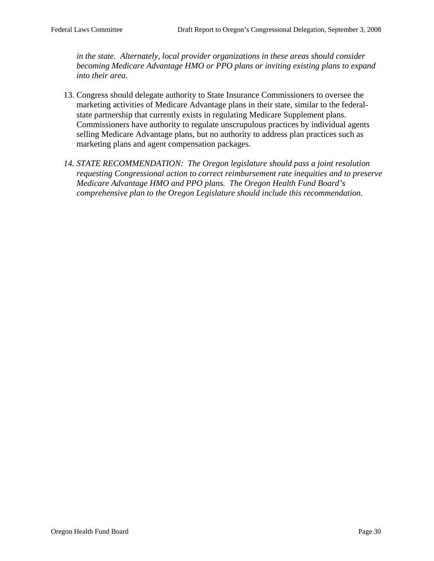*in the state. Alternately, local provider organizations in these areas should consider becoming Medicare Advantage HMO or PPO plans or inviting existing plans to expand into their area.* 

- 13. Congress should delegate authority to State Insurance Commissioners to oversee the marketing activities of Medicare Advantage plans in their state, similar to the federalstate partnership that currently exists in regulating Medicare Supplement plans. Commissioners have authority to regulate unscrupulous practices by individual agents selling Medicare Advantage plans, but no authority to address plan practices such as marketing plans and agent compensation packages.
- *14. STATE RECOMMENDATION: The Oregon legislature should pass a joint resolution requesting Congressional action to correct reimbursement rate inequities and to preserve Medicare Advantage HMO and PPO plans. The Oregon Health Fund Board's comprehensive plan to the Oregon Legislature should include this recommendation.*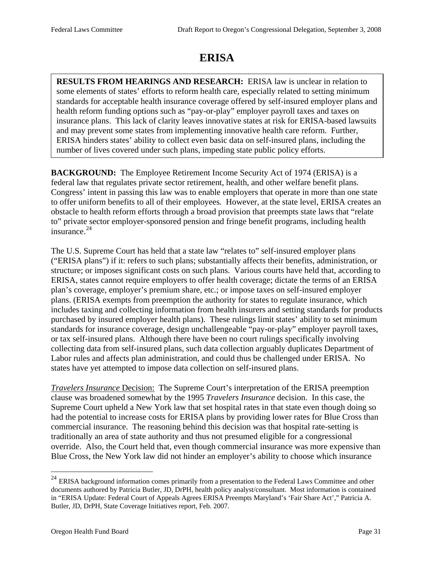## **ERISA**

**RESULTS FROM HEARINGS AND RESEARCH:** ERISA law is unclear in relation to some elements of states' efforts to reform health care, especially related to setting minimum standards for acceptable health insurance coverage offered by self-insured employer plans and health reform funding options such as "pay-or-play" employer payroll taxes and taxes on insurance plans. This lack of clarity leaves innovative states at risk for ERISA-based lawsuits and may prevent some states from implementing innovative health care reform. Further, ERISA hinders states' ability to collect even basic data on self-insured plans, including the number of lives covered under such plans, impeding state public policy efforts.

**BACKGROUND:** The Employee Retirement Income Security Act of 1974 (ERISA) is a federal law that regulates private sector retirement, health, and other welfare benefit plans. Congress' intent in passing this law was to enable employers that operate in more than one state to offer uniform benefits to all of their employees. However, at the state level, ERISA creates an obstacle to health reform efforts through a broad provision that preempts state laws that "relate to" private sector employer-sponsored pension and fringe benefit programs, including health insurance.<sup>[24](#page-30-0)</sup>

The U.S. Supreme Court has held that a state law "relates to" self-insured employer plans ("ERISA plans") if it: refers to such plans; substantially affects their benefits, administration, or structure; or imposes significant costs on such plans. Various courts have held that, according to ERISA, states cannot require employers to offer health coverage; dictate the terms of an ERISA plan's coverage, employer's premium share, etc.; or impose taxes on self-insured employer plans. (ERISA exempts from preemption the authority for states to regulate insurance, which includes taxing and collecting information from health insurers and setting standards for products purchased by insured employer health plans). These rulings limit states' ability to set minimum standards for insurance coverage, design unchallengeable "pay-or-play" employer payroll taxes, or tax self-insured plans. Although there have been no court rulings specifically involving collecting data from self-insured plans, such data collection arguably duplicates Department of Labor rules and affects plan administration, and could thus be challenged under ERISA. No states have yet attempted to impose data collection on self-insured plans.

*Travelers Insurance* Decision: The Supreme Court's interpretation of the ERISA preemption clause was broadened somewhat by the 1995 *Travelers Insurance* decision. In this case, the Supreme Court upheld a New York law that set hospital rates in that state even though doing so had the potential to increase costs for ERISA plans by providing lower rates for Blue Cross than commercial insurance. The reasoning behind this decision was that hospital rate-setting is traditionally an area of state authority and thus not presumed eligible for a congressional override. Also, the Court held that, even though commercial insurance was more expensive than Blue Cross, the New York law did not hinder an employer's ability to choose which insurance

<span id="page-30-0"></span> $^{24}$  ERISA background information comes primarily from a presentation to the Federal Laws Committee and other documents authored by Patricia Butler, JD, DrPH, health policy analyst/consultant. Most information is contained in "ERISA Update: Federal Court of Appeals Agrees ERISA Preempts Maryland's 'Fair Share Act'," Patricia A. Butler, JD, DrPH, State Coverage Initiatives report, Feb. 2007.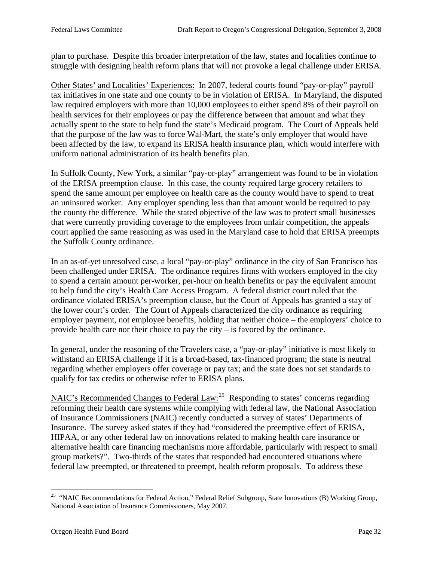plan to purchase. Despite this broader interpretation of the law, states and localities continue to struggle with designing health reform plans that will not provoke a legal challenge under ERISA.

Other States' and Localities' Experiences: In 2007, federal courts found "pay-or-play" payroll tax initiatives in one state and one county to be in violation of ERISA. In Maryland, the disputed law required employers with more than 10,000 employees to either spend 8% of their payroll on health services for their employees or pay the difference between that amount and what they actually spent to the state to help fund the state's Medicaid program. The Court of Appeals held that the purpose of the law was to force Wal-Mart, the state's only employer that would have been affected by the law, to expand its ERISA health insurance plan, which would interfere with uniform national administration of its health benefits plan.

In Suffolk County, New York, a similar "pay-or-play" arrangement was found to be in violation of the ERISA preemption clause. In this case, the county required large grocery retailers to spend the same amount per employee on health care as the county would have to spend to treat an uninsured worker. Any employer spending less than that amount would be required to pay the county the difference. While the stated objective of the law was to protect small businesses that were currently providing coverage to the employees from unfair competition, the appeals court applied the same reasoning as was used in the Maryland case to hold that ERISA preempts the Suffolk County ordinance.

In an as-of-yet unresolved case, a local "pay-or-play" ordinance in the city of San Francisco has been challenged under ERISA. The ordinance requires firms with workers employed in the city to spend a certain amount per-worker, per-hour on health benefits or pay the equivalent amount to help fund the city's Health Care Access Program. A federal district court ruled that the ordinance violated ERISA's preemption clause, but the Court of Appeals has granted a stay of the lower court's order. The Court of Appeals characterized the city ordinance as requiring employer payment, not employee benefits, holding that neither choice – the employers' choice to provide health care nor their choice to pay the city – is favored by the ordinance.

In general, under the reasoning of the Travelers case, a "pay-or-play" initiative is most likely to withstand an ERISA challenge if it is a broad-based, tax-financed program; the state is neutral regarding whether employers offer coverage or pay tax; and the state does not set standards to qualify for tax credits or otherwise refer to ERISA plans.

NAIC's Recommended Changes to Federal Law:<sup>[25](#page-31-0)</sup> Responding to states' concerns regarding reforming their health care systems while complying with federal law, the National Association of Insurance Commissioners (NAIC) recently conducted a survey of states' Departments of Insurance. The survey asked states if they had "considered the preemptive effect of ERISA, HIPAA, or any other federal law on innovations related to making health care insurance or alternative health care financing mechanisms more affordable, particularly with respect to small group markets?". Two-thirds of the states that responded had encountered situations where federal law preempted, or threatened to preempt, health reform proposals. To address these

<span id="page-31-0"></span><sup>&</sup>lt;sup>25</sup> "NAIC Recommendations for Federal Action," Federal Relief Subgroup, State Innovations (B) Working Group, National Association of Insurance Commissioners, May 2007.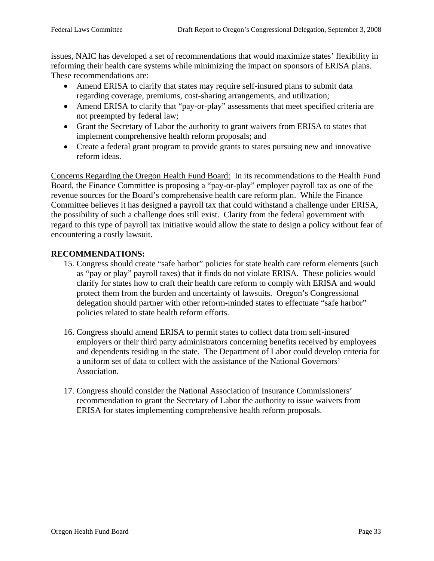issues, NAIC has developed a set of recommendations that would maximize states' flexibility in reforming their health care systems while minimizing the impact on sponsors of ERISA plans. These recommendations are:

- Amend ERISA to clarify that states may require self-insured plans to submit data regarding coverage, premiums, cost-sharing arrangements, and utilization;
- Amend ERISA to clarify that "pay-or-play" assessments that meet specified criteria are not preempted by federal law;
- Grant the Secretary of Labor the authority to grant waivers from ERISA to states that implement comprehensive health reform proposals; and
- Create a federal grant program to provide grants to states pursuing new and innovative reform ideas.

Concerns Regarding the Oregon Health Fund Board: In its recommendations to the Health Fund Board, the Finance Committee is proposing a "pay-or-play" employer payroll tax as one of the revenue sources for the Board's comprehensive health care reform plan. While the Finance Committee believes it has designed a payroll tax that could withstand a challenge under ERISA, the possibility of such a challenge does still exist. Clarity from the federal government with regard to this type of payroll tax initiative would allow the state to design a policy without fear of encountering a costly lawsuit.

### **RECOMMENDATIONS:**

- 15. Congress should create "safe harbor" policies for state health care reform elements (such as "pay or play" payroll taxes) that it finds do not violate ERISA. These policies would clarify for states how to craft their health care reform to comply with ERISA and would protect them from the burden and uncertainty of lawsuits. Oregon's Congressional delegation should partner with other reform-minded states to effectuate "safe harbor" policies related to state health reform efforts.
- 16. Congress should amend ERISA to permit states to collect data from self-insured employers or their third party administrators concerning benefits received by employees and dependents residing in the state. The Department of Labor could develop criteria for a uniform set of data to collect with the assistance of the National Governors' Association.
- 17. Congress should consider the National Association of Insurance Commissioners' recommendation to grant the Secretary of Labor the authority to issue waivers from ERISA for states implementing comprehensive health reform proposals.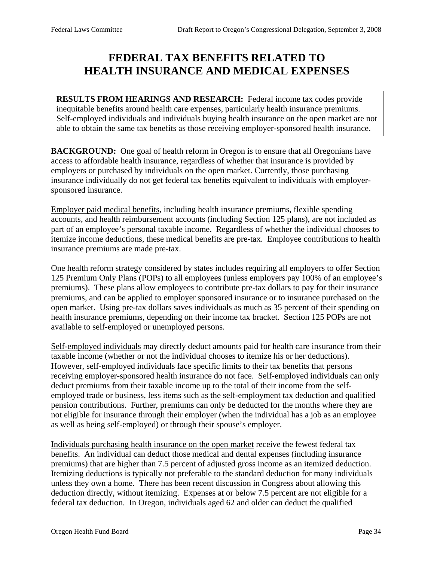### **FEDERAL TAX BENEFITS RELATED TO HEALTH INSURANCE AND MEDICAL EXPENSES**

**RESULTS FROM HEARINGS AND RESEARCH:** Federal income tax codes provide inequitable benefits around health care expenses, particularly health insurance premiums. Self-employed individuals and individuals buying health insurance on the open market are not able to obtain the same tax benefits as those receiving employer-sponsored health insurance.

**BACKGROUND:** One goal of health reform in Oregon is to ensure that all Oregonians have access to affordable health insurance, regardless of whether that insurance is provided by employers or purchased by individuals on the open market. Currently, those purchasing insurance individually do not get federal tax benefits equivalent to individuals with employersponsored insurance.

Employer paid medical benefits, including health insurance premiums, flexible spending accounts, and health reimbursement accounts (including Section 125 plans), are not included as part of an employee's personal taxable income. Regardless of whether the individual chooses to itemize income deductions, these medical benefits are pre-tax. Employee contributions to health insurance premiums are made pre-tax.

One health reform strategy considered by states includes requiring all employers to offer Section 125 Premium Only Plans (POPs) to all employees (unless employers pay 100% of an employee's premiums). These plans allow employees to contribute pre-tax dollars to pay for their insurance premiums, and can be applied to employer sponsored insurance or to insurance purchased on the open market. Using pre-tax dollars saves individuals as much as 35 percent of their spending on health insurance premiums, depending on their income tax bracket. Section 125 POPs are not available to self-employed or unemployed persons.

Self-employed individuals may directly deduct amounts paid for health care insurance from their taxable income (whether or not the individual chooses to itemize his or her deductions). However, self-employed individuals face specific limits to their tax benefits that persons receiving employer-sponsored health insurance do not face. Self-employed individuals can only deduct premiums from their taxable income up to the total of their income from the selfemployed trade or business, less items such as the self-employment tax deduction and qualified pension contributions. Further, premiums can only be deducted for the months where they are not eligible for insurance through their employer (when the individual has a job as an employee as well as being self-employed) or through their spouse's employer.

Individuals purchasing health insurance on the open market receive the fewest federal tax benefits. An individual can deduct those medical and dental expenses (including insurance premiums) that are higher than 7.5 percent of adjusted gross income as an itemized deduction. Itemizing deductions is typically not preferable to the standard deduction for many individuals unless they own a home. There has been recent discussion in Congress about allowing this deduction directly, without itemizing. Expenses at or below 7.5 percent are not eligible for a federal tax deduction. In Oregon, individuals aged 62 and older can deduct the qualified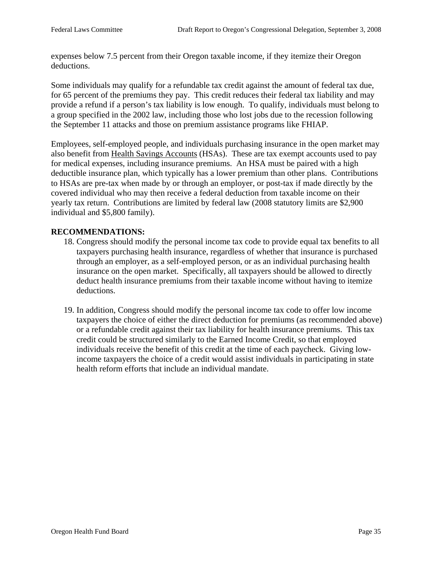expenses below 7.5 percent from their Oregon taxable income, if they itemize their Oregon deductions.

Some individuals may qualify for a refundable tax credit against the amount of federal tax due, for 65 percent of the premiums they pay. This credit reduces their federal tax liability and may provide a refund if a person's tax liability is low enough. To qualify, individuals must belong to a group specified in the 2002 law, including those who lost jobs due to the recession following the September 11 attacks and those on premium assistance programs like FHIAP.

Employees, self-employed people, and individuals purchasing insurance in the open market may also benefit from Health Savings Accounts (HSAs). These are tax exempt accounts used to pay for medical expenses, including insurance premiums. An HSA must be paired with a high deductible insurance plan, which typically has a lower premium than other plans. Contributions to HSAs are pre-tax when made by or through an employer, or post-tax if made directly by the covered individual who may then receive a federal deduction from taxable income on their yearly tax return. Contributions are limited by federal law (2008 statutory limits are \$2,900 individual and \$5,800 family).

### **RECOMMENDATIONS:**

- 18. Congress should modify the personal income tax code to provide equal tax benefits to all taxpayers purchasing health insurance, regardless of whether that insurance is purchased through an employer, as a self-employed person, or as an individual purchasing health insurance on the open market. Specifically, all taxpayers should be allowed to directly deduct health insurance premiums from their taxable income without having to itemize deductions.
- 19. In addition, Congress should modify the personal income tax code to offer low income taxpayers the choice of either the direct deduction for premiums (as recommended above) or a refundable credit against their tax liability for health insurance premiums. This tax credit could be structured similarly to the Earned Income Credit, so that employed individuals receive the benefit of this credit at the time of each paycheck. Giving lowincome taxpayers the choice of a credit would assist individuals in participating in state health reform efforts that include an individual mandate.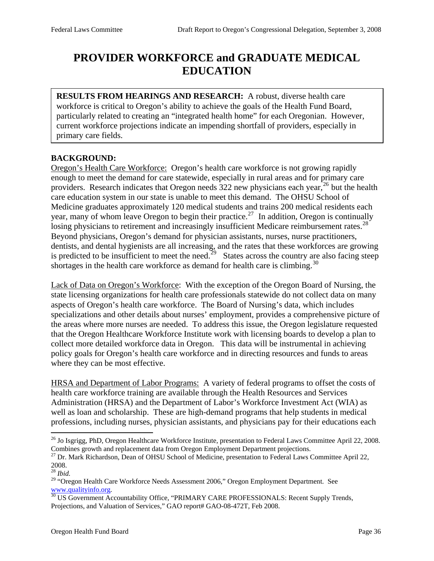### **PROVIDER WORKFORCE and GRADUATE MEDICAL EDUCATION**

**RESULTS FROM HEARINGS AND RESEARCH:** A robust, diverse health care workforce is critical to Oregon's ability to achieve the goals of the Health Fund Board, particularly related to creating an "integrated health home" for each Oregonian. However, current workforce projections indicate an impending shortfall of providers, especially in primary care fields.

### **BACKGROUND:**

Oregon's Health Care Workforce: Oregon's health care workforce is not growing rapidly enough to meet the demand for care statewide, especially in rural areas and for primary care providers. Research indicates that Oregon needs  $322$  new physicians each year,  $26$  but the health care education system in our state is unable to meet this demand. The OHSU School of Medicine graduates approximately 120 medical students and trains 200 medical residents each year, many of whom leave Oregon to begin their practice.<sup>[27](#page-35-1)</sup> In addition, Oregon is continually losing physicians to retirement and increasingly insufficient Medicare reimbursement rates.<sup>[28](#page-35-2)</sup> Beyond physicians, Oregon's demand for physician assistants, nurses, nurse practitioners, dentists, and dental hygienists are all increasing, and the rates that these workforces are growing is predicted to be insufficient to meet the need.<sup>[29](#page-35-3)</sup> States across the country are also facing steep shortages in the health care workforce as demand for health care is climbing.<sup>[30](#page-35-4)</sup>

Lack of Data on Oregon's Workforce: With the exception of the Oregon Board of Nursing, the state licensing organizations for health care professionals statewide do not collect data on many aspects of Oregon's health care workforce. The Board of Nursing's data, which includes specializations and other details about nurses' employment, provides a comprehensive picture of the areas where more nurses are needed. To address this issue, the Oregon legislature requested that the Oregon Healthcare Workforce Institute work with licensing boards to develop a plan to collect more detailed workforce data in Oregon. This data will be instrumental in achieving policy goals for Oregon's health care workforce and in directing resources and funds to areas where they can be most effective.

HRSA and Department of Labor Programs: A variety of federal programs to offset the costs of health care workforce training are available through the Health Resources and Services Administration (HRSA) and the Department of Labor's Workforce Investment Act (WIA) as well as loan and scholarship. These are high-demand programs that help students in medical professions, including nurses, physician assistants, and physicians pay for their educations each

1

<span id="page-35-0"></span><sup>&</sup>lt;sup>26</sup> Jo Isgrigg, PhD, Oregon Healthcare Workforce Institute, presentation to Federal Laws Committee April 22, 2008. Combines growth and replacement data from Oregon Employment Department projections.<br><sup>27</sup> Dr. Mark Richardson, Dean of OHSU School of Medicine conservatives in the Medicine

<span id="page-35-1"></span><sup>27</sup> Dr. Mark Richardson, Dean of OHSU School of Medicine, presentation to Federal Laws Committee April 22, 2008.

<span id="page-35-2"></span><sup>28</sup> *Ibid.*

<span id="page-35-3"></span><sup>&</sup>lt;sup>29</sup> "Oregon Health Care Workforce Needs Assessment 2006," Oregon Employment Department. See

<span id="page-35-4"></span>[www.qualityinfo.org.](http://www.qualityinfo.org/)<br><sup>[30](http://www.qualityinfo.org/)</sup> US Government Accountability Office, "PRIMARY CARE PROFESSIONALS: Recent Supply Trends, Projections, and Valuation of Services," GAO report# GAO-08-472T, Feb 2008.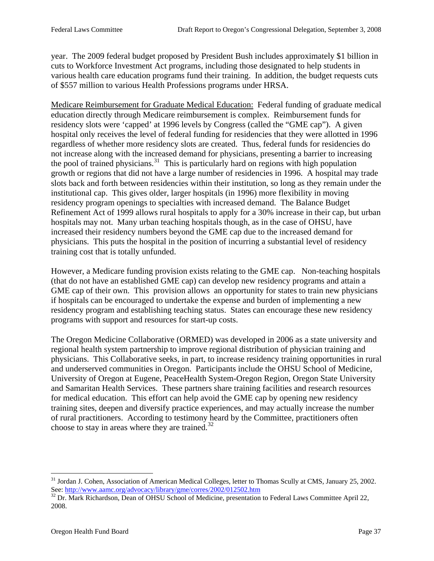year. The 2009 federal budget proposed by President Bush includes approximately \$1 billion in cuts to Workforce Investment Act programs, including those designated to help students in various health care education programs fund their training. In addition, the budget requests cuts of \$557 million to various Health Professions programs under HRSA.

Medicare Reimbursement for Graduate Medical Education: Federal funding of graduate medical education directly through Medicare reimbursement is complex. Reimbursement funds for residency slots were 'capped' at 1996 levels by Congress (called the "GME cap"). A given hospital only receives the level of federal funding for residencies that they were allotted in 1996 regardless of whether more residency slots are created. Thus, federal funds for residencies do not increase along with the increased demand for physicians, presenting a barrier to increasing the pool of trained physicians.<sup>[31](#page-36-0)</sup> This is particularly hard on regions with high population growth or regions that did not have a large number of residencies in 1996. A hospital may trad e slots back and forth between residencies within their institution, so long as they remain under the institutional cap. This gives older, larger hospitals (in 1996) more flexibility in moving residency program openings to specialties with increased demand. The Balance Budget Refinement Act of 1999 allows rural hospitals to apply for a 30% increase in their cap, but urban hospitals may not. Many urban teaching hospitals though, as in the case of OHSU, have increased their residency numbers beyond the GME cap due to the increased demand for physicians. This puts the hospital in the position of incurring a substantial level of residency training cost that is totally unfunded.

However, a Medicare funding provision exists relating to the GME cap. Non-teaching hospitals (that do not have an established GME cap) can develop new residency programs and attain a GME cap of their own. This provision allows an opportunity for states to train new physicians if hospitals can be encouraged to undertake the expense and burden of implementing a new residency program and establishing teaching status. States can encourage these new residency programs with support and resources for start-up costs.

The Oregon Medicine Collaborative (ORMED) was developed in 2006 as a state university and regional health system partnership to improve regional distribution of physician training and physicians. This Collaborative seeks, in part, to increase residency training opportunities in rural and underserved communities in Oregon. Participants include the OHSU School of Medicine, University of Oregon at Eugene, PeaceHealth System-Oregon Region, Oregon State University and Samaritan Health Services. These partners share training facilities and research resources for medical education. This effort can help avoid the GME cap by opening new residency training sites, deepen and diversify practice experiences, and may actually increase the number of rural practitioners. According to testimony heard by the Committee, practitioners often choose to stay in areas where they are trained. $32$ 

<span id="page-36-0"></span><sup>&</sup>lt;sup>31</sup> Jordan J. Cohen, Association of American Medical Colleges, letter to Thomas Scully at CMS, January 25, 2002.<br>See: http://www.aamc.org/advocacy/library/gme/corres/2002/012502.htm

<span id="page-36-1"></span><sup>&</sup>lt;sup>32</sup> Dr. Mark Richardson, Dean of OHSU School of Medicine, presentation to Federal Laws Committee April 22, 2008.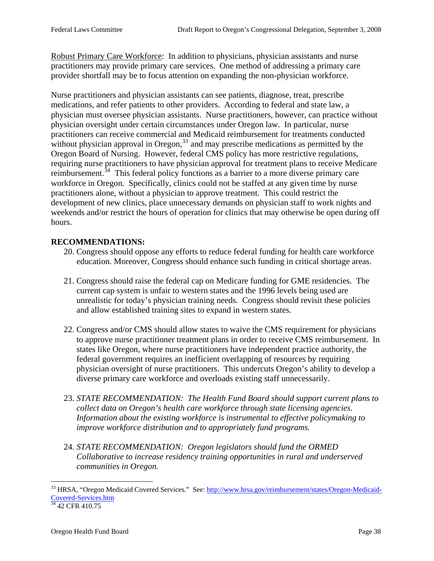Robust Primary Care Workforce: In addition to physicians, physician assistants and nurse practitioners may provide primary care services. One method of addressing a primary care provider shortfall may be to focus attention on expanding the non-physician workforce.

Nurse practitioners and physician assistants can see patients, diagnose, treat, prescribe medications, and refer patients to other providers. According to federal and state law, a physician must oversee physician assistants. Nurse practitioners, however, can practice without physician oversight under certain circumstances under Oregon law. In particular, nurse practitioners can receive commercial and Medicaid reimbursement for treatments conducted without physician approval in Oregon,  $33$  and may prescribe medications as permitted by the Oregon Board of Nursing. However, federal CMS policy has more restrictive regulations, requiring nurse practitioners to have physician approval for treatment plans to receive Medicare reimbursement.<sup>[34](#page-37-1)</sup> This federal policy functions as a barrier to a more diverse primary care workforce in Oregon. Specifically, clinics could not be staffed at any given time by nurse practitioners alone, without a physician to approve treatment. This could restrict the development of new clinics, place unnecessary demands on physician staff to work nights and weekends and/or restrict the hours of operation for clinics that may otherwise be open during off hours.

### **RECOMMENDATIONS:**

- 20. Congress should oppose any efforts to reduce federal funding for health care workforce education. Moreover, Congress should enhance such funding in critical shortage areas.
- 21. Congress should raise the federal cap on Medicare funding for GME residencies. The current cap system is unfair to western states and the 1996 levels being used are unrealistic for today's physician training needs. Congress should revisit these policies and allow established training sites to expand in western states.
- 22. Congress and/or CMS should allow states to waive the CMS requirement for physicians to approve nurse practitioner treatment plans in order to receive CMS reimbursement. In states like Oregon, where nurse practitioners have independent practice authority, the federal government requires an inefficient overlapping of resources by requiring physician oversight of nurse practitioners. This undercuts Oregon's ability to develop a diverse primary care workforce and overloads existing staff unnecessarily.
- 23. *STATE RECOMMENDATION: The Health Fund Board should support current plans to collect data on Oregon's health care workforce through state licensing agencies. Information about the existing workforce is instrumental to effective policymaking to improve workforce distribution and to appropriately fund programs.*
- 24. *STATE RECOMMENDATION: Oregon legislators should fund the ORMED Collaborative to increase residency training opportunities in rural and underserved communities in Oregon.*

1

<span id="page-37-0"></span><sup>&</sup>lt;sup>33</sup> HRSA, "Oregon Medicaid Covered Services." See: [http://www.hrsa.gov/reimbursement/states/Oregon-Medicaid-](http://www.hrsa.gov/reimbursement/states/Oregon-Medicaid-Covered-Services.htm)[Covered-Services.htm](http://www.hrsa.gov/reimbursement/states/Oregon-Medicaid-Covered-Services.htm)<br>
<sup>[34](http://www.hrsa.gov/reimbursement/states/Oregon-Medicaid-Covered-Services.htm)</sup> 42 CFR 410.75

<span id="page-37-1"></span>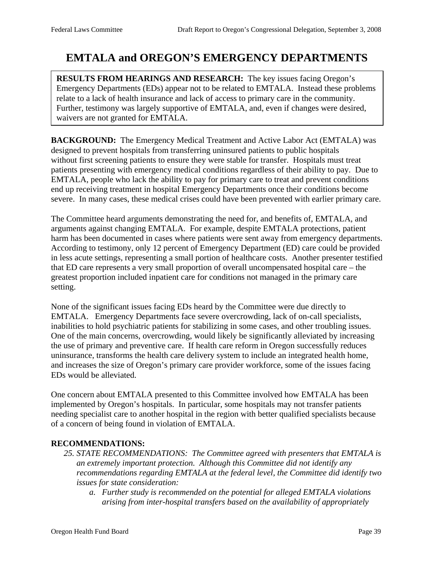### **EMTALA and OREGON'S EMERGENCY DEPARTMENTS**

**RESULTS FROM HEARINGS AND RESEARCH:** The key issues facing Oregon's Emergency Departments (EDs) appear not to be related to EMTALA. Instead these problems relate to a lack of health insurance and lack of access to primary care in the community. Further, testimony was largely supportive of EMTALA, and, even if changes were desired, waivers are not granted for EMTALA.

**BACKGROUND:** The Emergency Medical Treatment and Active Labor Act (EMTALA) was designed to prevent hospitals from transferring uninsured patients to public hospitals without first screening patients to ensure they were stable for transfer. Hospitals must treat patients presenting with emergency medical conditions regardless of their ability to pay. Due to EMTALA, people who lack the ability to pay for primary care to treat and prevent conditions end up receiving treatment in hospital Emergency Departments once their conditions become severe. In many cases, these medical crises could have been prevented with earlier primary care.

The Committee heard arguments demonstrating the need for, and benefits of, EMTALA, and arguments against changing EMTALA. For example, despite EMTALA protections, patient harm has been documented in cases where patients were sent away from emergency departments. According to testimony, only 12 percent of Emergency Department (ED) care could be provided in less acute settings, representing a small portion of healthcare costs. Another presenter testified that ED care represents a very small proportion of overall uncompensated hospital care – the greatest proportion included inpatient care for conditions not managed in the primary care setting.

None of the significant issues facing EDs heard by the Committee were due directly to EMTALA. Emergency Departments face severe overcrowding, lack of on-call specialists, inabilities to hold psychiatric patients for stabilizing in some cases, and other troubling issues. One of the main concerns, overcrowding, would likely be significantly alleviated by increasing the use of primary and preventive care. If health care reform in Oregon successfully reduces uninsurance, transforms the health care delivery system to include an integrated health home, and increases the size of Oregon's primary care provider workforce, some of the issues facing EDs would be alleviated.

One concern about EMTALA presented to this Committee involved how EMTALA has been implemented by Oregon's hospitals. In particular, some hospitals may not transfer patients needing specialist care to another hospital in the region with better qualified specialists because of a concern of being found in violation of EMTALA.

### **RECOMMENDATIONS:**

- *25. STATE RECOMMENDATIONS: The Committee agreed with presenters that EMTALA is an extremely important protection. Although this Committee did not identify any recommendations regarding EMTALA at the federal level, the Committee did identify two issues for state consideration:* 
	- *a. Further study is recommended on the potential for alleged EMTALA violations arising from inter-hospital transfers based on the availability of appropriately*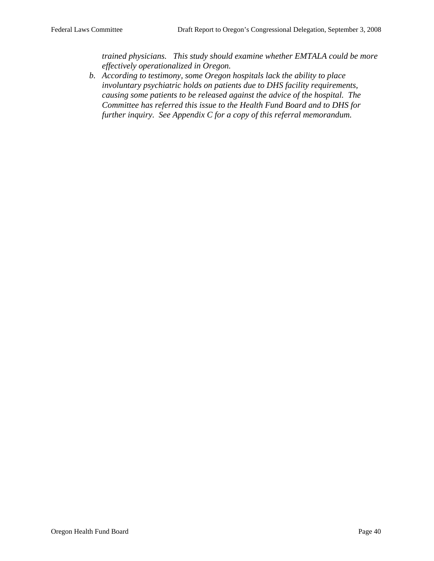*trained physicians. This study should examine whether EMTALA could be more effectively operationalized in Oregon.* 

*b. According to testimony, some Oregon hospitals lack the ability to place involuntary psychiatric holds on patients due to DHS facility requirements, causing some patients to be released against the advice of the hospital. The Committee has referred this issue to the Health Fund Board and to DHS for further inquiry. See Appendix C for a copy of this referral memorandum.*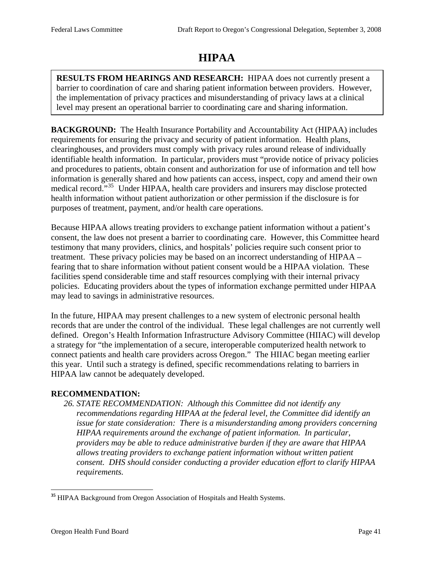# **HIPAA**

**RESULTS FROM HEARINGS AND RESEARCH:** HIPAA does not currently present a barrier to coordination of care and sharing patient information between providers. However, the implementation of privacy practices and misunderstanding of privacy laws at a clinical level may present an operational barrier to coordinating care and sharing information.

**BACKGROUND:** The Health Insurance Portability and Accountability Act (HIPAA) includes requirements for ensuring the privacy and security of patient information. Health plans, clearinghouses, and providers must comply with privacy rules around release of individually identifiable health information. In particular, providers must "provide notice of privacy policies and procedures to patients, obtain consent and authorization for use of information and tell how information is generally shared and how patients can access, inspect, copy and amend their own medical record."[35](#page-40-0) Under HIPAA, health care providers and insurers may disclose protected health information without patient authorization or other permission if the disclosure is for purposes of treatment, payment, and/or health care operations.

Because HIPAA allows treating providers to exchange patient information without a patient's consent, the law does not present a barrier to coordinating care. However, this Committee heard testimony that many providers, clinics, and hospitals' policies require such consent prior to treatment. These privacy policies may be based on an incorrect understanding of HIPAA – fearing that to share information without patient consent would be a HIPAA violation. These facilities spend considerable time and staff resources complying with their internal privacy policies. Educating providers about the types of information exchange permitted under HIPAA may lead to savings in administrative resources.

In the future, HIPAA may present challenges to a new system of electronic personal health records that are under the control of the individual. These legal challenges are not currently well defined. Oregon's Health Information Infrastructure Advisory Committee (HIIAC) will develop a strategy for "the implementation of a secure, interoperable computerized health network to connect patients and health care providers across Oregon." The HIIAC began meeting earlier this year. Until such a strategy is defined, specific recommendations relating to barriers in HIPAA law cannot be adequately developed.

### **RECOMMENDATION:**

*26. STATE RECOMMENDATION: Although this Committee did not identify any recommendations regarding HIPAA at the federal level, the Committee did identify an issue for state consideration: There is a misunderstanding among providers concerning HIPAA requirements around the exchange of patient information. In particular, providers may be able to reduce administrative burden if they are aware that HIPAA allows treating providers to exchange patient information without written patient consent. DHS should consider conducting a provider education effort to clarify HIPAA requirements.* 

<span id="page-40-0"></span><sup>1</sup> **<sup>35</sup>** HIPAA Background from Oregon Association of Hospitals and Health Systems.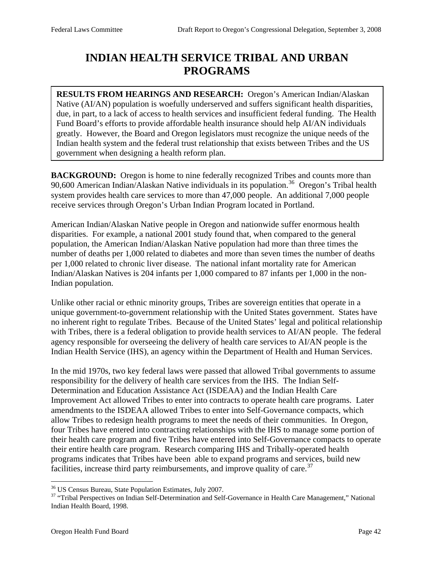### **INDIAN HEALTH SERVICE TRIBAL AND URBAN PROGRAMS**

**RESULTS FROM HEARINGS AND RESEARCH:** Oregon's American Indian/Alaskan Native (AI/AN) population is woefully underserved and suffers significant health disparities, due, in part, to a lack of access to health services and insufficient federal funding. The Health Fund Board's efforts to provide affordable health insurance should help AI/AN individuals greatly. However, the Board and Oregon legislators must recognize the unique needs of the Indian health system and the federal trust relationship that exists between Tribes and the US government when designing a health reform plan.

**BACKGROUND:** Oregon is home to nine federally recognized Tribes and counts more than 90,600 American Indian/Alaskan Native individuals in its population.<sup>[36](#page-41-0)</sup> Oregon's Tribal health system provides health care services to more than 47,000 people. An additional 7,000 people receive services through Oregon's Urban Indian Program located in Portland.

American Indian/Alaskan Native people in Oregon and nationwide suffer enormous health disparities. For example, a national 2001 study found that, when compared to the general population, the American Indian/Alaskan Native population had more than three times the number of deaths per 1,000 related to diabetes and more than seven times the number of deaths per 1,000 related to chronic liver disease. The national infant mortality rate for American Indian/Alaskan Natives is 204 infants per 1,000 compared to 87 infants per 1,000 in the non-Indian population.

Unlike other racial or ethnic minority groups, Tribes are sovereign entities that operate in a unique government-to-government relationship with the United States government. States have no inherent right to regulate Tribes. Because of the United States' legal and political relationship with Tribes, there is a federal obligation to provide health services to AI/AN people. The federal agency responsible for overseeing the delivery of health care services to AI/AN people is the Indian Health Service (IHS), an agency within the Department of Health and Human Services.

In the mid 1970s, two key federal laws were passed that allowed Tribal governments to assume responsibility for the delivery of health care services from the IHS. The Indian Self-Determination and Education Assistance Act (ISDEAA) and the Indian Health Care Improvement Act allowed Tribes to enter into contracts to operate health care programs. Later amendments to the ISDEAA allowed Tribes to enter into Self-Governance compacts, which allow Tribes to redesign health programs to meet the needs of their communities. In Oregon, four Tribes have entered into contracting relationships with the IHS to manage some portion of their health care program and five Tribes have entered into Self-Governance compacts to operate their entire health care program. Research comparing IHS and Tribally-operated health programs indicates that Tribes have been able to expand programs and services, build new facilities, increase third party reimbursements, and improve quality of care.<sup>[37](#page-41-1)</sup>

<span id="page-41-0"></span><sup>36</sup> US Census Bureau, State Population Estimates, July 2007.

<span id="page-41-1"></span><sup>&</sup>lt;sup>37</sup> "Tribal Perspectives on Indian Self-Determination and Self-Governance in Health Care Management," National Indian Health Board, 1998.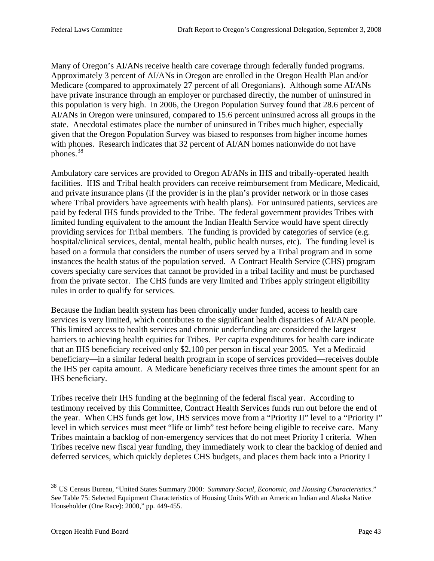Many of Oregon's AI/ANs receive health care coverage through federally funded programs. Approximately 3 percent of AI/ANs in Oregon are enrolled in the Oregon Health Plan and/or Medicare (compared to approximately 27 percent of all Oregonians). Although some AI/ANs have private insurance through an employer or purchased directly, the number of uninsured in this population is very high. In 2006, the Oregon Population Survey found that 28.6 percent of AI/ANs in Oregon were uninsured, compared to 15.6 percent uninsured across all groups in the state. Anecdotal estimates place the number of uninsured in Tribes much higher, especially given that the Oregon Population Survey was biased to responses from higher income homes with phones. Research indicates that 32 percent of AI/AN homes nationwide do not have phones.[38](#page-42-0)

Ambulatory care services are provided to Oregon AI/ANs in IHS and tribally-operated health facilities. IHS and Tribal health providers can receive reimbursement from Medicare, Medicaid, and private insurance plans (if the provider is in the plan's provider network or in those cases where Tribal providers have agreements with health plans). For uninsured patients, services are paid by federal IHS funds provided to the Tribe. The federal government provides Tribes with limited funding equivalent to the amount the Indian Health Service would have spent directly providing services for Tribal members. The funding is provided by categories of service (e.g. hospital/clinical services, dental, mental health, public health nurses, etc). The funding level is based on a formula that considers the number of users served by a Tribal program and in some instances the health status of the population served. A Contract Health Service (CHS) program covers specialty care services that cannot be provided in a tribal facility and must be purchased from the private sector. The CHS funds are very limited and Tribes apply stringent eligibility rules in order to qualify for services.

Because the Indian health system has been chronically under funded, access to health care services is very limited, which contributes to the significant health disparities of AI/AN people. This limited access to health services and chronic underfunding are considered the largest barriers to achieving health equities for Tribes. Per capita expenditures for health care indicate that an IHS beneficiary received only \$2,100 per person in fiscal year 2005. Yet a Medicaid beneficiary—in a similar federal health program in scope of services provided—receives double the IHS per capita amount. A Medicare beneficiary receives three times the amount spent for an IHS beneficiary.

Tribes receive their IHS funding at the beginning of the federal fiscal year. According to testimony received by this Committee, Contract Health Services funds run out before the end of the year. When CHS funds get low, IHS services move from a "Priority II" level to a "Priority I" level in which services must meet "life or limb" test before being eligible to receive care. Many Tribes maintain a backlog of non-emergency services that do not meet Priority I criteria. When Tribes receive new fiscal year funding, they immediately work to clear the backlog of denied and deferred services, which quickly depletes CHS budgets, and places them back into a Priority I

<span id="page-42-0"></span><sup>38</sup> US Census Bureau, "United States Summary 2000: *Summary Social, Economic, and Housing Characteristics*." See Table 75: Selected Equipment Characteristics of Housing Units With an American Indian and Alaska Native Householder (One Race): 2000," pp. 449-455.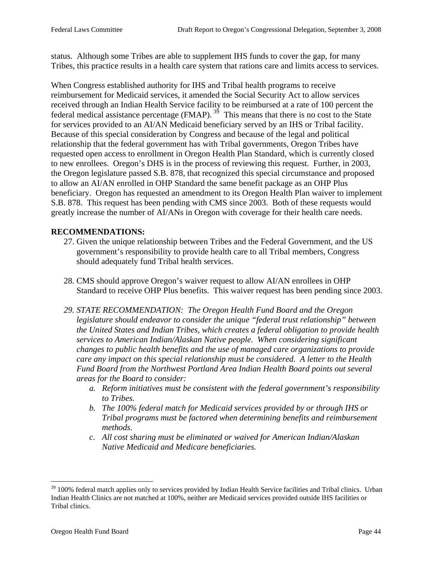status. Although some Tribes are able to supplement IHS funds to cover the gap, for many Tribes, this practice results in a health care system that rations care and limits access to services.

When Congress established authority for IHS and Tribal health programs to receive reimbursement for Medicaid services, it amended the Social Security Act to allow services received through an Indian Health Service facility to be reimbursed at a rate of 100 percent the federal medical assistance percentage (FMAP).  $3<sup>5</sup>$  This means that there is no cost to the State for services provided to an AI/AN Medicaid beneficiary served by an IHS or Tribal facility. Because of this special consideration by Congress and because of the legal and political relationship that the federal government has with Tribal governments, Oregon Tribes have requested open access to enrollment in Oregon Health Plan Standard, which is currently closed to new enrollees. Oregon's DHS is in the process of reviewing this request. Further, in 2003, the Oregon legislature passed S.B. 878, that recognized this special circumstance and proposed to allow an AI/AN enrolled in OHP Standard the same benefit package as an OHP Plus beneficiary. Oregon has requested an amendment to its Oregon Health Plan waiver to implement S.B. 878. This request has been pending with CMS since 2003. Both of these requests would greatly increase the number of AI/ANs in Oregon with coverage for their health care needs.

### **RECOMMENDATIONS:**

- 27. Given the unique relationship between Tribes and the Federal Government, and the US government's responsibility to provide health care to all Tribal members, Congress should adequately fund Tribal health services.
- 28. CMS should approve Oregon's waiver request to allow AI/AN enrollees in OHP Standard to receive OHP Plus benefits. This waiver request has been pending since 2003.
- *29. STATE RECOMMENDATION: The Oregon Health Fund Board and the Oregon legislature should endeavor to consider the unique "federal trust relationship" between the United States and Indian Tribes, which creates a federal obligation to provide health services to American Indian/Alaskan Native people. When considering significant changes to public health benefits and the use of managed care organizations to provide care any impact on this special relationship must be considered. A letter to the Health Fund Board from the Northwest Portland Area Indian Health Board points out several areas for the Board to consider:* 
	- *a. Reform initiatives must be consistent with the federal government's responsibility to Tribes.*
	- *b. The 100% federal match for Medicaid services provided by or through IHS or Tribal programs must be factored when determining benefits and reimbursement methods.*
	- *c. All cost sharing must be eliminated or waived for American Indian/Alaskan Native Medicaid and Medicare beneficiaries.*

<span id="page-43-0"></span> $39$  100% federal match applies only to services provided by Indian Health Service facilities and Tribal clinics. Urban Indian Health Clinics are not matched at 100%, neither are Medicaid services provided outside IHS facilities or Tribal clinics.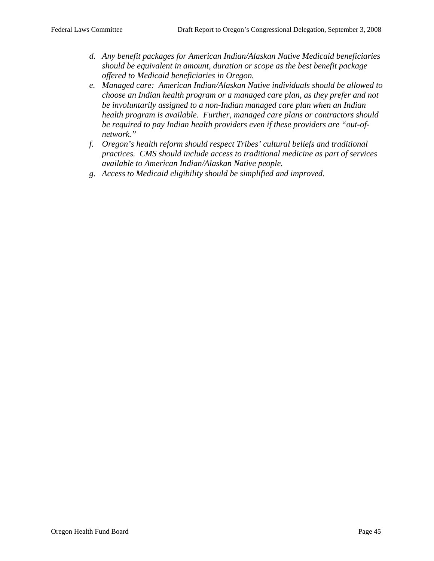- *d. Any benefit packages for American Indian/Alaskan Native Medicaid beneficiaries should be equivalent in amount, duration or scope as the best benefit package offered to Medicaid beneficiaries in Oregon.*
- *e. Managed care: American Indian/Alaskan Native individuals should be allowed to choose an Indian health program or a managed care plan, as they prefer and not be involuntarily assigned to a non-Indian managed care plan when an Indian health program is available. Further, managed care plans or contractors should be required to pay Indian health providers even if these providers are "out-ofnetwork."*
- *f. Oregon's health reform should respect Tribes' cultural beliefs and traditional practices. CMS should include access to traditional medicine as part of services available to American Indian/Alaskan Native people.*
- *g. Access to Medicaid eligibility should be simplified and improved.*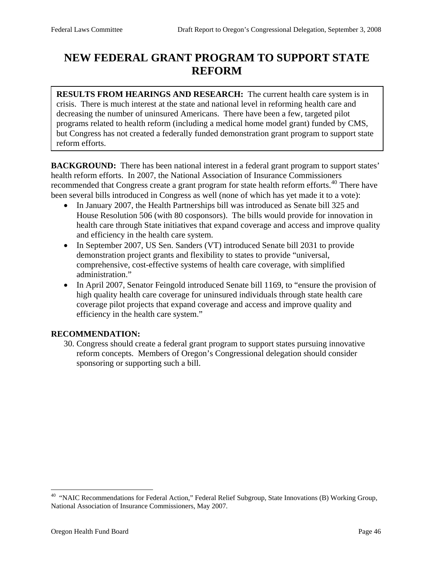### **NEW FEDERAL GRANT PROGRAM TO SUPPORT STATE REFORM**

**RESULTS FROM HEARINGS AND RESEARCH:** The current health care system is in crisis. There is much interest at the state and national level in reforming health care and decreasing the number of uninsured Americans. There have been a few, targeted pilot programs related to health reform (including a medical home model grant) funded by CMS, but Congress has not created a federally funded demonstration grant program to support state reform efforts.

**BACKGROUND:** There has been national interest in a federal grant program to support states' health reform efforts. In 2007, the National Association of Insurance Commissioners recommended that Congress create a grant program for state health reform efforts.<sup>[40](#page-45-0)</sup> There have been several bills introduced in Congress as well (none of which has yet made it to a vote):

- In January 2007, the Health Partnerships bill was introduced as Senate bill 325 and House Resolution 506 (with 80 cosponsors). The bills would provide for innovation in health care through State initiatives that expand coverage and access and improve quality and efficiency in the health care system.
- In September 2007, US Sen. Sanders (VT) introduced Senate bill 2031 to provide demonstration project grants and flexibility to states to provide "universal, comprehensive, cost-effective systems of health care coverage, with simplified administration."
- In April 2007, Senator Feingold introduced Senate bill 1169, to "ensure the provision of high quality health care coverage for uninsured individuals through state health care coverage pilot projects that expand coverage and access and improve quality and efficiency in the health care system."

### **RECOMMENDATION:**

30. Congress should create a federal grant program to support states pursuing innovative reform concepts. Members of Oregon's Congressional delegation should consider sponsoring or supporting such a bill.

1

<span id="page-45-0"></span><sup>&</sup>lt;sup>40</sup> "NAIC Recommendations for Federal Action," Federal Relief Subgroup, State Innovations (B) Working Group, National Association of Insurance Commissioners, May 2007.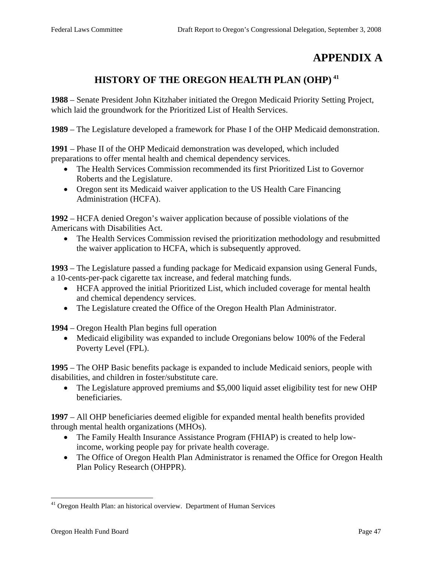## **APPENDIX A**

### **HISTORY OF THE OREGON HEALTH PLAN (OHP) [41](#page-46-0)**

**1988** – Senate President John Kitzhaber initiated the Oregon Medicaid Priority Setting Project, which laid the groundwork for the Prioritized List of Health Services.

**1989** – The Legislature developed a framework for Phase I of the OHP Medicaid demonstration.

**1991** – Phase II of the OHP Medicaid demonstration was developed, which included preparations to offer mental health and chemical dependency services.

- The Health Services Commission recommended its first Prioritized List to Governor Roberts and the Legislature.
- Oregon sent its Medicaid waiver application to the US Health Care Financing Administration (HCFA).

**1992** – HCFA denied Oregon's waiver application because of possible violations of the Americans with Disabilities Act.

• The Health Services Commission revised the prioritization methodology and resubmitted the waiver application to HCFA, which is subsequently approved.

**1993** – The Legislature passed a funding package for Medicaid expansion using General Funds, a 10-cents-per-pack cigarette tax increase, and federal matching funds.

- HCFA approved the initial Prioritized List, which included coverage for mental health and chemical dependency services.
- The Legislature created the Office of the Oregon Health Plan Administrator.

**1994** – Oregon Health Plan begins full operation

• Medicaid eligibility was expanded to include Oregonians below 100% of the Federal Poverty Level (FPL).

**1995** – The OHP Basic benefits package is expanded to include Medicaid seniors, people with disabilities, and children in foster/substitute care.

• The Legislature approved premiums and \$5,000 liquid asset eligibility test for new OHP beneficiaries.

**1997** – All OHP beneficiaries deemed eligible for expanded mental health benefits provided through mental health organizations (MHOs).

- The Family Health Insurance Assistance Program (FHIAP) is created to help lowincome, working people pay for private health coverage.
- The Office of Oregon Health Plan Administrator is renamed the Office for Oregon Health Plan Policy Research (OHPPR).

<span id="page-46-0"></span><sup>&</sup>lt;sup>41</sup> Oregon Health Plan: an historical overview. Department of Human Services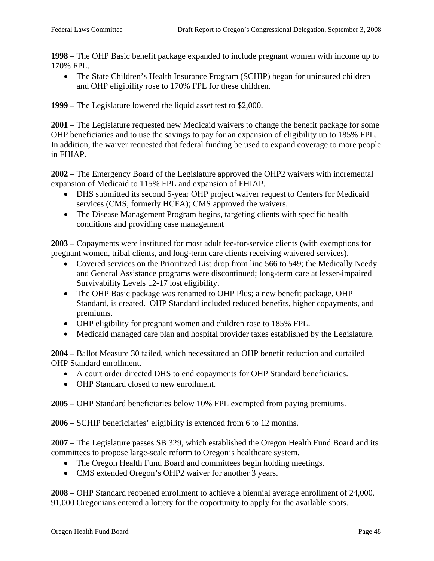**1998** – The OHP Basic benefit package expanded to include pregnant women with income up to 170% FPL.

• The State Children's Health Insurance Program (SCHIP) began for uninsured children and OHP eligibility rose to 170% FPL for these children.

**1999** – The Legislature lowered the liquid asset test to \$2,000.

**2001** – The Legislature requested new Medicaid waivers to change the benefit package for some OHP beneficiaries and to use the savings to pay for an expansion of eligibility up to 185% FPL. In addition, the waiver requested that federal funding be used to expand coverage to more people in FHIAP.

**2002** – The Emergency Board of the Legislature approved the OHP2 waivers with incremental expansion of Medicaid to 115% FPL and expansion of FHIAP.

- DHS submitted its second 5-year OHP project waiver request to Centers for Medicaid services (CMS, formerly HCFA); CMS approved the waivers.
- The Disease Management Program begins, targeting clients with specific health conditions and providing case management

**2003** – Copayments were instituted for most adult fee-for-service clients (with exemptions for pregnant women, tribal clients, and long-term care clients receiving waivered services).

- Covered services on the Prioritized List drop from line 566 to 549; the Medically Needy and General Assistance programs were discontinued; long-term care at lesser-impaired Survivability Levels 12-17 lost eligibility.
- The OHP Basic package was renamed to OHP Plus; a new benefit package, OHP Standard, is created. OHP Standard included reduced benefits, higher copayments, and premiums.
- OHP eligibility for pregnant women and children rose to 185% FPL.
- Medicaid managed care plan and hospital provider taxes established by the Legislature.

**2004** – Ballot Measure 30 failed, which necessitated an OHP benefit reduction and curtailed OHP Standard enrollment.

- A court order directed DHS to end copayments for OHP Standard beneficiaries.
- OHP Standard closed to new enrollment.

**2005** – OHP Standard beneficiaries below 10% FPL exempted from paying premiums.

**2006** – SCHIP beneficiaries' eligibility is extended from 6 to 12 months.

**2007** – The Legislature passes SB 329, which established the Oregon Health Fund Board and its committees to propose large-scale reform to Oregon's healthcare system.

- The Oregon Health Fund Board and committees begin holding meetings.
- CMS extended Oregon's OHP2 waiver for another 3 years.

**2008** – OHP Standard reopened enrollment to achieve a biennial average enrollment of 24,000. 91,000 Oregonians entered a lottery for the opportunity to apply for the available spots.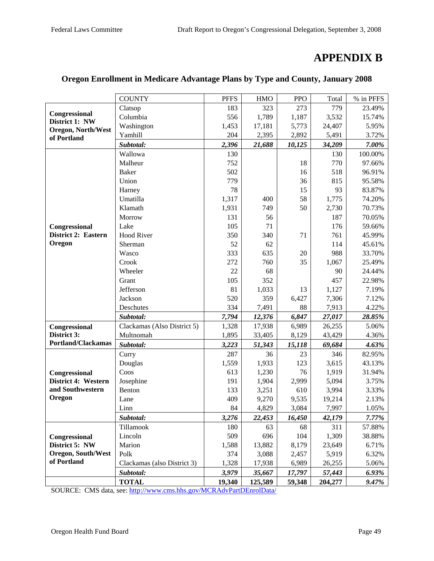### **APPENDIX B**

|                                 | <b>COUNTY</b>               | <b>PFFS</b> | <b>HMO</b> | <b>PPO</b> | Total   | % in PFFS |
|---------------------------------|-----------------------------|-------------|------------|------------|---------|-----------|
|                                 | Clatsop                     | 183         | 323        | 273        | 779     | 23.49%    |
| Congressional<br>District 1: NW | Columbia                    | 556         | 1,789      | 1,187      | 3,532   | 15.74%    |
| Oregon, North/West              | Washington                  | 1,453       | 17,181     | 5,773      | 24,407  | 5.95%     |
| of Portland                     | Yamhill                     | 204         | 2,395      | 2,892      | 5,491   | 3.72%     |
|                                 | Subtotal:                   | 2,396       | 21,688     | 10,125     | 34,209  | $7.00\%$  |
|                                 | Wallowa                     | 130         |            |            | 130     | 100.00%   |
|                                 | Malheur                     | 752         |            | 18         | 770     | 97.66%    |
|                                 | <b>Baker</b>                | 502         |            | 16         | 518     | 96.91%    |
|                                 | Union                       | 779         |            | 36         | 815     | 95.58%    |
|                                 | Harney                      | 78          |            | 15         | 93      | 83.87%    |
|                                 | Umatilla                    | 1,317       | 400        | 58         | 1,775   | 74.20%    |
|                                 | Klamath                     | 1,931       | 749        | 50         | 2,730   | 70.73%    |
|                                 | Morrow                      | 131         | 56         |            | 187     | 70.05%    |
| Congressional                   | Lake                        | 105         | 71         |            | 176     | 59.66%    |
| District 2: Eastern             | <b>Hood River</b>           | 350         | 340        | 71         | 761     | 45.99%    |
| Oregon                          | Sherman                     | 52          | 62         |            | 114     | 45.61%    |
|                                 | Wasco                       | 333         | 635        | 20         | 988     | 33.70%    |
|                                 | Crook                       | 272         | 760        | 35         | 1,067   | 25.49%    |
|                                 | Wheeler                     | 22          | 68         |            | 90      | 24.44%    |
|                                 | Grant                       | 105         | 352        |            | 457     | 22.98%    |
|                                 | Jefferson                   | 81          | 1,033      | 13         | 1,127   | 7.19%     |
|                                 | Jackson                     | 520         | 359        | 6,427      | 7,306   | 7.12%     |
|                                 | Deschutes                   | 334         | 7,491      | 88         | 7,913   | 4.22%     |
|                                 | Subtotal:                   | 7,794       | 12,376     | 6,847      | 27,017  | 28.85%    |
| Congressional                   | Clackamas (Also District 5) | 1,328       | 17,938     | 6,989      | 26,255  | 5.06%     |
| District 3:                     | Multnomah                   | 1,895       | 33,405     | 8,129      | 43,429  | 4.36%     |
| Portland/Clackamas              | Subtotal:                   | 3,223       | 51,343     | 15,118     | 69,684  | 4.63%     |
|                                 | Curry                       | 287         | 36         | 23         | 346     | 82.95%    |
|                                 | Douglas                     | 1,559       | 1,933      | 123        | 3,615   | 43.13%    |
| Congressional                   | Coos                        | 613         | 1,230      | 76         | 1,919   | 31.94%    |
| District 4: Western             | Josephine                   | 191         | 1,904      | 2,999      | 5,094   | 3.75%     |
| and Southwestern                | Benton                      | 133         | 3,251      | 610        | 3,994   | 3.33%     |
| Oregon                          | Lane                        | 409         | 9,270      | 9,535      | 19,214  | 2.13%     |
|                                 | Linn                        | 84          | 4,829      | 3,084      | 7,997   | 1.05%     |
|                                 | Subtotal:                   | 3,276       | 22,453     | 16,450     | 42,179  | 7.77%     |
|                                 | Tillamook                   | 180         | 63         | 68         | 311     | 57.88%    |
| Congressional                   | Lincoln                     | 509         | 696        | 104        | 1,309   | 38.88%    |
| District 5: NW                  | Marion                      | 1,588       | 13,882     | 8,179      | 23,649  | 6.71%     |
| <b>Oregon, South/West</b>       | Polk                        | 374         | 3,088      | 2,457      | 5,919   | 6.32%     |
| of Portland                     | Clackamas (also District 3) | 1,328       | 17,938     | 6,989      | 26,255  | 5.06%     |
|                                 | Subtotal:                   | 3,979       | 35,667     | 17,797     | 57,443  | 6.93%     |
|                                 | <b>TOTAL</b>                | 19,340      | 125,589    | 59,348     | 204,277 | $9.47\%$  |

### **Oregon Enrollment in Medicare Advantage Plans by Type and County, January 2008**

SOURCE: CMS data, see: <http://www.cms.hhs.gov/MCRAdvPartDEnrolData/>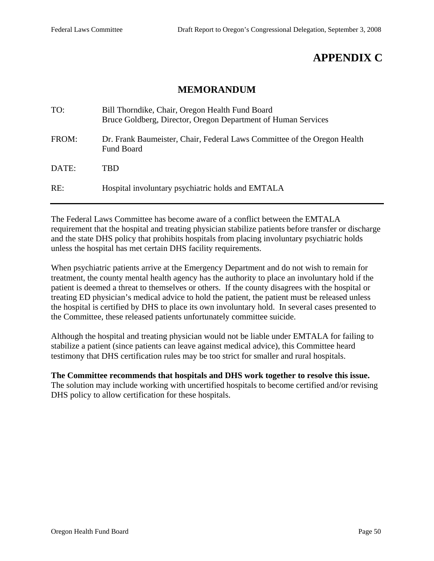### **APPENDIX C**

### **MEMORANDUM**

| TO:   | Bill Thorndike, Chair, Oregon Health Fund Board<br>Bruce Goldberg, Director, Oregon Department of Human Services |
|-------|------------------------------------------------------------------------------------------------------------------|
| FROM: | Dr. Frank Baumeister, Chair, Federal Laws Committee of the Oregon Health<br><b>Fund Board</b>                    |
| DATE: | TBD                                                                                                              |
| RE:   | Hospital involuntary psychiatric holds and EMTALA                                                                |

The Federal Laws Committee has become aware of a conflict between the EMTALA requirement that the hospital and treating physician stabilize patients before transfer or discharge and the state DHS policy that prohibits hospitals from placing involuntary psychiatric holds unless the hospital has met certain DHS facility requirements.

When psychiatric patients arrive at the Emergency Department and do not wish to remain for treatment, the county mental health agency has the authority to place an involuntary hold if the patient is deemed a threat to themselves or others. If the county disagrees with the hospital or treating ED physician's medical advice to hold the patient, the patient must be released unless the hospital is certified by DHS to place its own involuntary hold. In several cases presented to the Committee, these released patients unfortunately committee suicide.

Although the hospital and treating physician would not be liable under EMTALA for failing to stabilize a patient (since patients can leave against medical advice), this Committee heard testimony that DHS certification rules may be too strict for smaller and rural hospitals.

**The Committee recommends that hospitals and DHS work together to resolve this issue.** The solution may include working with uncertified hospitals to become certified and/or revising DHS policy to allow certification for these hospitals.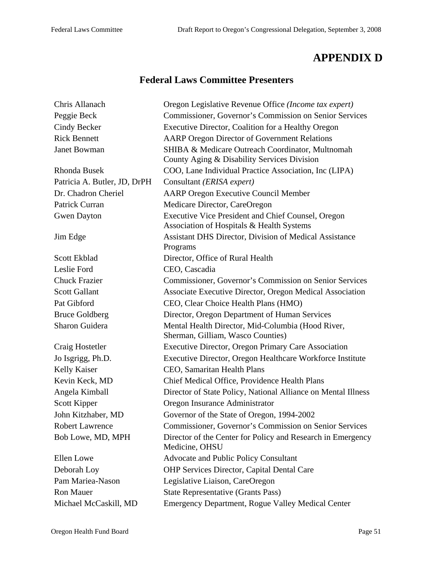### **APPENDIX D**

### **Federal Laws Committee Presenters**

| Chris Allanach               | Oregon Legislative Revenue Office (Income tax expert)                                           |
|------------------------------|-------------------------------------------------------------------------------------------------|
| Peggie Beck                  | Commissioner, Governor's Commission on Senior Services                                          |
| Cindy Becker                 | Executive Director, Coalition for a Healthy Oregon                                              |
| <b>Rick Bennett</b>          | <b>AARP Oregon Director of Government Relations</b>                                             |
| Janet Bowman                 | SHIBA & Medicare Outreach Coordinator, Multnomah<br>County Aging & Disability Services Division |
| <b>Rhonda Busek</b>          | COO, Lane Individual Practice Association, Inc (LIPA)                                           |
| Patricia A. Butler, JD, DrPH | Consultant (ERISA expert)                                                                       |
| Dr. Chadron Cheriel          | <b>AARP Oregon Executive Council Member</b>                                                     |
| <b>Patrick Curran</b>        | Medicare Director, CareOregon                                                                   |
| <b>Gwen Dayton</b>           | Executive Vice President and Chief Counsel, Oregon<br>Association of Hospitals & Health Systems |
| Jim Edge                     | <b>Assistant DHS Director, Division of Medical Assistance</b><br>Programs                       |
| Scott Ekblad                 | Director, Office of Rural Health                                                                |
| Leslie Ford                  | CEO, Cascadia                                                                                   |
| <b>Chuck Frazier</b>         | Commissioner, Governor's Commission on Senior Services                                          |
| <b>Scott Gallant</b>         | <b>Associate Executive Director, Oregon Medical Association</b>                                 |
| Pat Gibford                  | CEO, Clear Choice Health Plans (HMO)                                                            |
| <b>Bruce Goldberg</b>        | Director, Oregon Department of Human Services                                                   |
| Sharon Guidera               | Mental Health Director, Mid-Columbia (Hood River,<br>Sherman, Gilliam, Wasco Counties)          |
| Craig Hostetler              | Executive Director, Oregon Primary Care Association                                             |
| Jo Isgrigg, Ph.D.            | Executive Director, Oregon Healthcare Workforce Institute                                       |
| Kelly Kaiser                 | CEO, Samaritan Health Plans                                                                     |
| Kevin Keck, MD               | Chief Medical Office, Providence Health Plans                                                   |
| Angela Kimball               | Director of State Policy, National Alliance on Mental Illness                                   |
| Scott Kipper                 | Oregon Insurance Administrator                                                                  |
| John Kitzhaber, MD           | Governor of the State of Oregon, 1994-2002                                                      |
| <b>Robert Lawrence</b>       | Commissioner, Governor's Commission on Senior Services                                          |
| Bob Lowe, MD, MPH            | Director of the Center for Policy and Research in Emergency<br>Medicine, OHSU                   |
| Ellen Lowe                   | <b>Advocate and Public Policy Consultant</b>                                                    |
| Deborah Loy                  | <b>OHP Services Director, Capital Dental Care</b>                                               |
| Pam Mariea-Nason             | Legislative Liaison, CareOregon                                                                 |
| <b>Ron Mauer</b>             | <b>State Representative (Grants Pass)</b>                                                       |
| Michael McCaskill, MD        | Emergency Department, Rogue Valley Medical Center                                               |